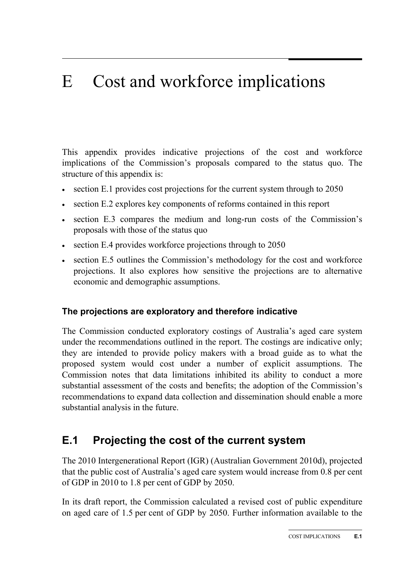# E Cost and workforce implications

This appendix provides indicative projections of the cost and workforce implications of the Commission's proposals compared to the status quo. The structure of this appendix is:

- section E.1 provides cost projections for the current system through to 2050
- section E.2 explores key components of reforms contained in this report
- section E.3 compares the medium and long-run costs of the Commission's proposals with those of the status quo
- section E.4 provides workforce projections through to 2050
- section E.5 outlines the Commission's methodology for the cost and workforce projections. It also explores how sensitive the projections are to alternative economic and demographic assumptions.

#### **The projections are exploratory and therefore indicative**

The Commission conducted exploratory costings of Australia's aged care system under the recommendations outlined in the report. The costings are indicative only; they are intended to provide policy makers with a broad guide as to what the proposed system would cost under a number of explicit assumptions. The Commission notes that data limitations inhibited its ability to conduct a more substantial assessment of the costs and benefits; the adoption of the Commission's recommendations to expand data collection and dissemination should enable a more substantial analysis in the future.

# **E.1 Projecting the cost of the current system**

The 2010 Intergenerational Report (IGR) (Australian Government 2010d), projected that the public cost of Australia's aged care system would increase from 0.8 per cent of GDP in 2010 to 1.8 per cent of GDP by 2050.

In its draft report, the Commission calculated a revised cost of public expenditure on aged care of 1.5 per cent of GDP by 2050. Further information available to the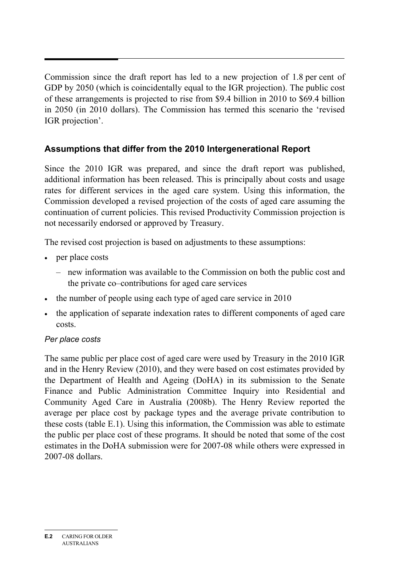Commission since the draft report has led to a new projection of 1.8 per cent of GDP by 2050 (which is coincidentally equal to the IGR projection). The public cost of these arrangements is projected to rise from \$9.4 billion in 2010 to \$69.4 billion in 2050 (in 2010 dollars). The Commission has termed this scenario the 'revised IGR projection'.

# **Assumptions that differ from the 2010 Intergenerational Report**

Since the 2010 IGR was prepared, and since the draft report was published, additional information has been released. This is principally about costs and usage rates for different services in the aged care system. Using this information, the Commission developed a revised projection of the costs of aged care assuming the continuation of current policies. This revised Productivity Commission projection is not necessarily endorsed or approved by Treasury.

The revised cost projection is based on adjustments to these assumptions:

- per place costs
	- new information was available to the Commission on both the public cost and the private co–contributions for aged care services
- the number of people using each type of aged care service in 2010
- the application of separate indexation rates to different components of aged care costs.

#### *Per place costs*

The same public per place cost of aged care were used by Treasury in the 2010 IGR and in the Henry Review (2010), and they were based on cost estimates provided by the Department of Health and Ageing (DoHA) in its submission to the Senate Finance and Public Administration Committee Inquiry into Residential and Community Aged Care in Australia (2008b). The Henry Review reported the average per place cost by package types and the average private contribution to these costs (table E.1). Using this information, the Commission was able to estimate the public per place cost of these programs. It should be noted that some of the cost estimates in the DoHA submission were for 2007-08 while others were expressed in 2007-08 dollars.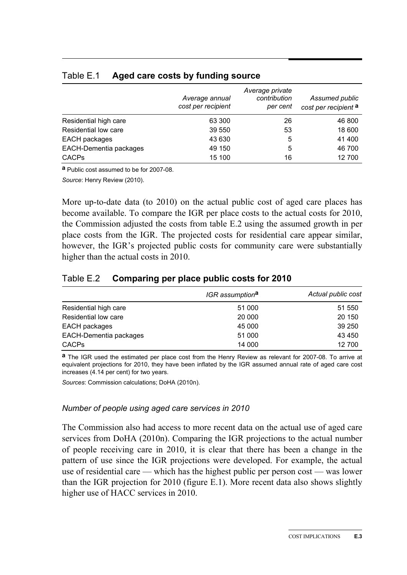|                        | Average annual<br>cost per recipient | Average private<br>contribution<br>per cent | Assumed public<br>cost per recipient a |
|------------------------|--------------------------------------|---------------------------------------------|----------------------------------------|
| Residential high care  | 63 300                               | 26                                          | 46 800                                 |
| Residential low care   | 39 550                               | 53                                          | 18 600                                 |
| EACH packages          | 43 630                               | 5                                           | 41 400                                 |
| EACH-Dementia packages | 49 150                               | 5                                           | 46 700                                 |
| <b>CACPs</b>           | 15 100                               | 16                                          | 12 700                                 |

#### Table E.1 **Aged care costs by funding source**

**a** Public cost assumed to be for 2007-08.

*Source*: Henry Review (2010).

More up-to-date data (to 2010) on the actual public cost of aged care places has become available. To compare the IGR per place costs to the actual costs for 2010, the Commission adjusted the costs from table E.2 using the assumed growth in per place costs from the IGR. The projected costs for residential care appear similar, however, the IGR's projected public costs for community care were substantially higher than the actual costs in 2010.

#### Table E.2 **Comparing per place public costs for 2010**

|                        | IGR assumption <sup>a</sup> | Actual public cost |
|------------------------|-----------------------------|--------------------|
| Residential high care  | 51 000                      | 51 550             |
| Residential low care   | 20 000                      | 20 150             |
| EACH packages          | 45 000                      | 39 250             |
| EACH-Dementia packages | 51 000                      | 43 450             |
| <b>CACPs</b>           | 14 000                      | 12 700             |

**a** The IGR used the estimated per place cost from the Henry Review as relevant for 2007-08. To arrive at equivalent projections for 2010, they have been inflated by the IGR assumed annual rate of aged care cost increases (4.14 per cent) for two years.

*Sources*: Commission calculations; DoHA (2010n).

#### *Number of people using aged care services in 2010*

The Commission also had access to more recent data on the actual use of aged care services from DoHA (2010n). Comparing the IGR projections to the actual number of people receiving care in 2010, it is clear that there has been a change in the pattern of use since the IGR projections were developed. For example, the actual use of residential care — which has the highest public per person cost — was lower than the IGR projection for 2010 (figure E.1). More recent data also shows slightly higher use of HACC services in 2010.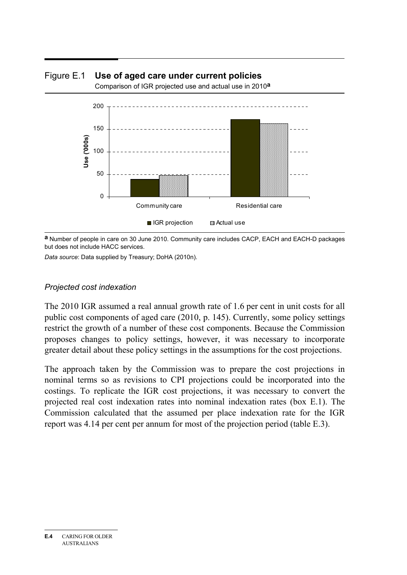

#### Figure E.1 **Use of aged care under current policies**

Comparison of IGR projected use and actual use in 2010**a**

**a** Number of people in care on 30 June 2010. Community care includes CACP, EACH and EACH-D packages but does not include HACC services.

*Data source*: Data supplied by Treasury; DoHA (2010n).

#### *Projected cost indexation*

The 2010 IGR assumed a real annual growth rate of 1.6 per cent in unit costs for all public cost components of aged care (2010, p. 145). Currently, some policy settings restrict the growth of a number of these cost components. Because the Commission proposes changes to policy settings, however, it was necessary to incorporate greater detail about these policy settings in the assumptions for the cost projections.

The approach taken by the Commission was to prepare the cost projections in nominal terms so as revisions to CPI projections could be incorporated into the costings. To replicate the IGR cost projections, it was necessary to convert the projected real cost indexation rates into nominal indexation rates (box E.1). The Commission calculated that the assumed per place indexation rate for the IGR report was 4.14 per cent per annum for most of the projection period (table E.3).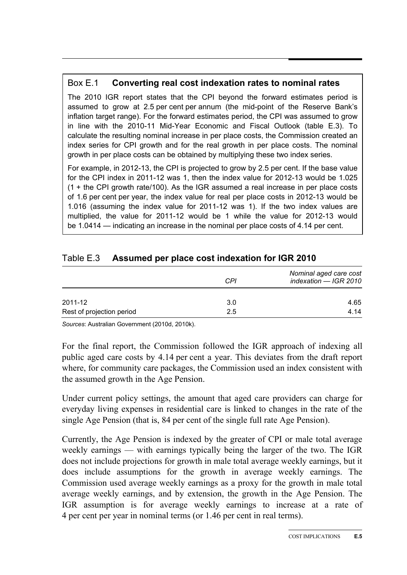## Box E.1 **Converting real cost indexation rates to nominal rates**

The 2010 IGR report states that the CPI beyond the forward estimates period is assumed to grow at 2.5 per cent per annum (the mid-point of the Reserve Bank's inflation target range). For the forward estimates period, the CPI was assumed to grow in line with the 2010-11 Mid-Year Economic and Fiscal Outlook (table E.3). To calculate the resulting nominal increase in per place costs, the Commission created an index series for CPI growth and for the real growth in per place costs. The nominal growth in per place costs can be obtained by multiplying these two index series.

For example, in 2012-13, the CPI is projected to grow by 2.5 per cent. If the base value for the CPI index in 2011-12 was 1, then the index value for 2012-13 would be 1.025 (1 + the CPI growth rate/100). As the IGR assumed a real increase in per place costs of 1.6 per cent per year, the index value for real per place costs in 2012-13 would be 1.016 (assuming the index value for 2011-12 was 1). If the two index values are multiplied, the value for 2011-12 would be 1 while the value for 2012-13 would be 1.0414 — indicating an increase in the nominal per place costs of 4.14 per cent.

|                           | CPI | Nominal aged care cost<br>indexation - IGR 2010 |
|---------------------------|-----|-------------------------------------------------|
| 2011-12                   | 3.0 | 4.65                                            |
| Rest of projection period | 2.5 | 4.14                                            |

#### Table E.3 **Assumed per place cost indexation for IGR 2010**

*Sources*: Australian Government (2010d, 2010k).

For the final report, the Commission followed the IGR approach of indexing all public aged care costs by 4.14 per cent a year. This deviates from the draft report where, for community care packages, the Commission used an index consistent with the assumed growth in the Age Pension.

Under current policy settings, the amount that aged care providers can charge for everyday living expenses in residential care is linked to changes in the rate of the single Age Pension (that is, 84 per cent of the single full rate Age Pension).

Currently, the Age Pension is indexed by the greater of CPI or male total average weekly earnings — with earnings typically being the larger of the two. The IGR does not include projections for growth in male total average weekly earnings, but it does include assumptions for the growth in average weekly earnings. The Commission used average weekly earnings as a proxy for the growth in male total average weekly earnings, and by extension, the growth in the Age Pension. The IGR assumption is for average weekly earnings to increase at a rate of 4 per cent per year in nominal terms (or 1.46 per cent in real terms).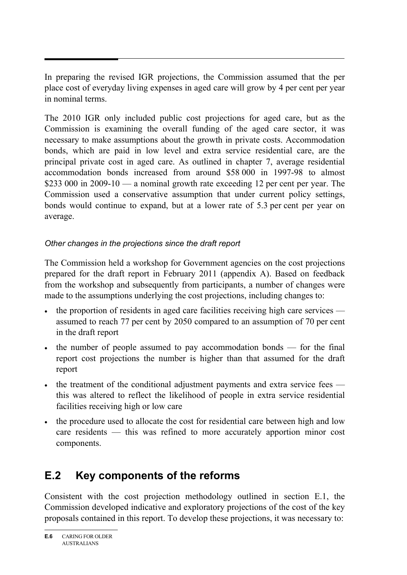In preparing the revised IGR projections, the Commission assumed that the per place cost of everyday living expenses in aged care will grow by 4 per cent per year in nominal terms.

The 2010 IGR only included public cost projections for aged care, but as the Commission is examining the overall funding of the aged care sector, it was necessary to make assumptions about the growth in private costs. Accommodation bonds, which are paid in low level and extra service residential care, are the principal private cost in aged care. As outlined in chapter 7, average residential accommodation bonds increased from around \$58 000 in 1997-98 to almost \$233 000 in 2009-10 — a nominal growth rate exceeding 12 per cent per year. The Commission used a conservative assumption that under current policy settings, bonds would continue to expand, but at a lower rate of 5.3 per cent per year on average.

# *Other changes in the projections since the draft report*

The Commission held a workshop for Government agencies on the cost projections prepared for the draft report in February 2011 (appendix A). Based on feedback from the workshop and subsequently from participants, a number of changes were made to the assumptions underlying the cost projections, including changes to:

- the proportion of residents in aged care facilities receiving high care services assumed to reach 77 per cent by 2050 compared to an assumption of 70 per cent in the draft report
- the number of people assumed to pay accommodation bonds for the final report cost projections the number is higher than that assumed for the draft report
- the treatment of the conditional adjustment payments and extra service fees this was altered to reflect the likelihood of people in extra service residential facilities receiving high or low care
- the procedure used to allocate the cost for residential care between high and low care residents — this was refined to more accurately apportion minor cost components.

# **E.2 Key components of the reforms**

Consistent with the cost projection methodology outlined in section E.1, the Commission developed indicative and exploratory projections of the cost of the key proposals contained in this report. To develop these projections, it was necessary to: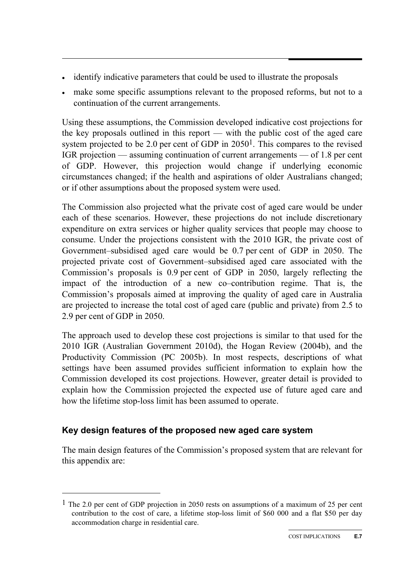- identify indicative parameters that could be used to illustrate the proposals
- make some specific assumptions relevant to the proposed reforms, but not to a continuation of the current arrangements.

Using these assumptions, the Commission developed indicative cost projections for the key proposals outlined in this report — with the public cost of the aged care system projected to be 2.0 per cent of GDP in 20501. This compares to the revised IGR projection — assuming continuation of current arrangements — of 1.8 per cent of GDP. However, this projection would change if underlying economic circumstances changed; if the health and aspirations of older Australians changed; or if other assumptions about the proposed system were used.

The Commission also projected what the private cost of aged care would be under each of these scenarios. However, these projections do not include discretionary expenditure on extra services or higher quality services that people may choose to consume. Under the projections consistent with the 2010 IGR, the private cost of Government–subsidised aged care would be 0.7 per cent of GDP in 2050. The projected private cost of Government–subsidised aged care associated with the Commission's proposals is 0.9 per cent of GDP in 2050, largely reflecting the impact of the introduction of a new co–contribution regime. That is, the Commission's proposals aimed at improving the quality of aged care in Australia are projected to increase the total cost of aged care (public and private) from 2.5 to 2.9 per cent of GDP in 2050.

The approach used to develop these cost projections is similar to that used for the 2010 IGR (Australian Government 2010d), the Hogan Review (2004b), and the Productivity Commission (PC 2005b). In most respects, descriptions of what settings have been assumed provides sufficient information to explain how the Commission developed its cost projections. However, greater detail is provided to explain how the Commission projected the expected use of future aged care and how the lifetime stop-loss limit has been assumed to operate.

# **Key design features of the proposed new aged care system**

 $\overline{a}$ 

The main design features of the Commission's proposed system that are relevant for this appendix are:

<sup>&</sup>lt;sup>1</sup> The 2.0 per cent of GDP projection in 2050 rests on assumptions of a maximum of 25 per cent contribution to the cost of care, a lifetime stop-loss limit of \$60 000 and a flat \$50 per day accommodation charge in residential care.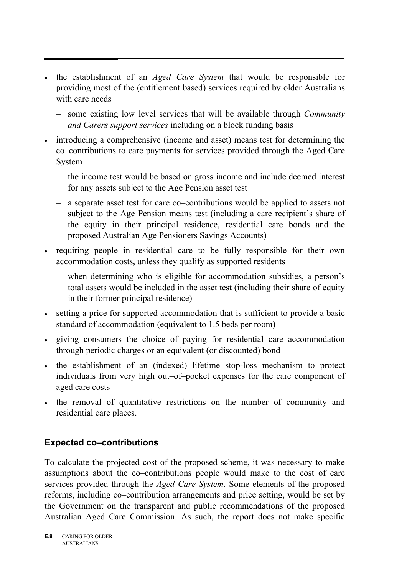- the establishment of an *Aged Care System* that would be responsible for providing most of the (entitlement based) services required by older Australians with care needs
	- some existing low level services that will be available through *Community and Carers support services* including on a block funding basis
- introducing a comprehensive (income and asset) means test for determining the co–contributions to care payments for services provided through the Aged Care System
	- the income test would be based on gross income and include deemed interest for any assets subject to the Age Pension asset test
	- a separate asset test for care co–contributions would be applied to assets not subject to the Age Pension means test (including a care recipient's share of the equity in their principal residence, residential care bonds and the proposed Australian Age Pensioners Savings Accounts)
- requiring people in residential care to be fully responsible for their own accommodation costs, unless they qualify as supported residents
	- when determining who is eligible for accommodation subsidies, a person's total assets would be included in the asset test (including their share of equity in their former principal residence)
- setting a price for supported accommodation that is sufficient to provide a basic standard of accommodation (equivalent to 1.5 beds per room)
- giving consumers the choice of paying for residential care accommodation through periodic charges or an equivalent (or discounted) bond
- the establishment of an (indexed) lifetime stop-loss mechanism to protect individuals from very high out–of–pocket expenses for the care component of aged care costs
- the removal of quantitative restrictions on the number of community and residential care places.

# **Expected co–contributions**

To calculate the projected cost of the proposed scheme, it was necessary to make assumptions about the co–contributions people would make to the cost of care services provided through the *Aged Care System*. Some elements of the proposed reforms, including co–contribution arrangements and price setting, would be set by the Government on the transparent and public recommendations of the proposed Australian Aged Care Commission. As such, the report does not make specific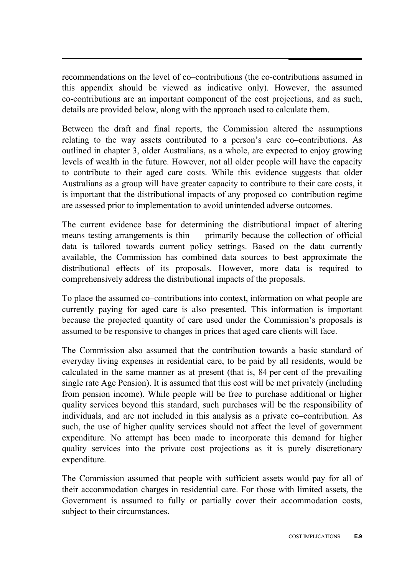recommendations on the level of co–contributions (the co-contributions assumed in this appendix should be viewed as indicative only). However, the assumed co-contributions are an important component of the cost projections, and as such, details are provided below, along with the approach used to calculate them.

Between the draft and final reports, the Commission altered the assumptions relating to the way assets contributed to a person's care co–contributions. As outlined in chapter 3, older Australians, as a whole, are expected to enjoy growing levels of wealth in the future. However, not all older people will have the capacity to contribute to their aged care costs. While this evidence suggests that older Australians as a group will have greater capacity to contribute to their care costs, it is important that the distributional impacts of any proposed co–contribution regime are assessed prior to implementation to avoid unintended adverse outcomes.

The current evidence base for determining the distributional impact of altering means testing arrangements is thin — primarily because the collection of official data is tailored towards current policy settings. Based on the data currently available, the Commission has combined data sources to best approximate the distributional effects of its proposals. However, more data is required to comprehensively address the distributional impacts of the proposals.

To place the assumed co–contributions into context, information on what people are currently paying for aged care is also presented. This information is important because the projected quantity of care used under the Commission's proposals is assumed to be responsive to changes in prices that aged care clients will face.

The Commission also assumed that the contribution towards a basic standard of everyday living expenses in residential care, to be paid by all residents, would be calculated in the same manner as at present (that is, 84 per cent of the prevailing single rate Age Pension). It is assumed that this cost will be met privately (including from pension income). While people will be free to purchase additional or higher quality services beyond this standard, such purchases will be the responsibility of individuals, and are not included in this analysis as a private co–contribution. As such, the use of higher quality services should not affect the level of government expenditure. No attempt has been made to incorporate this demand for higher quality services into the private cost projections as it is purely discretionary expenditure.

The Commission assumed that people with sufficient assets would pay for all of their accommodation charges in residential care. For those with limited assets, the Government is assumed to fully or partially cover their accommodation costs, subject to their circumstances.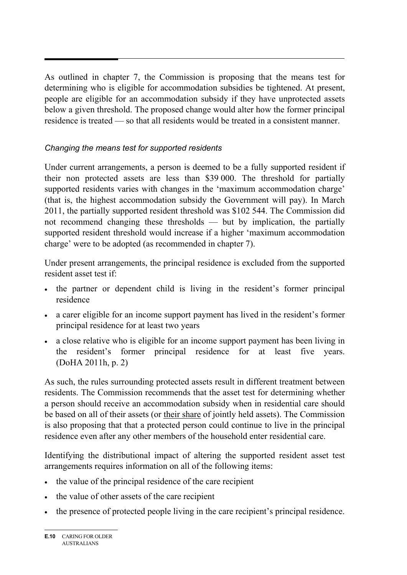As outlined in chapter 7, the Commission is proposing that the means test for determining who is eligible for accommodation subsidies be tightened. At present, people are eligible for an accommodation subsidy if they have unprotected assets below a given threshold. The proposed change would alter how the former principal residence is treated — so that all residents would be treated in a consistent manner.

# *Changing the means test for supported residents*

Under current arrangements, a person is deemed to be a fully supported resident if their non protected assets are less than \$39 000. The threshold for partially supported residents varies with changes in the 'maximum accommodation charge' (that is, the highest accommodation subsidy the Government will pay). In March 2011, the partially supported resident threshold was \$102 544. The Commission did not recommend changing these thresholds — but by implication, the partially supported resident threshold would increase if a higher 'maximum accommodation charge' were to be adopted (as recommended in chapter 7).

Under present arrangements, the principal residence is excluded from the supported resident asset test if:

- the partner or dependent child is living in the resident's former principal residence
- a carer eligible for an income support payment has lived in the resident's former principal residence for at least two years
- a close relative who is eligible for an income support payment has been living in the resident's former principal residence for at least five years. (DoHA 2011h, p. 2)

As such, the rules surrounding protected assets result in different treatment between residents. The Commission recommends that the asset test for determining whether a person should receive an accommodation subsidy when in residential care should be based on all of their assets (or their share of jointly held assets). The Commission is also proposing that that a protected person could continue to live in the principal residence even after any other members of the household enter residential care.

Identifying the distributional impact of altering the supported resident asset test arrangements requires information on all of the following items:

- the value of the principal residence of the care recipient
- the value of other assets of the care recipient
- the presence of protected people living in the care recipient's principal residence.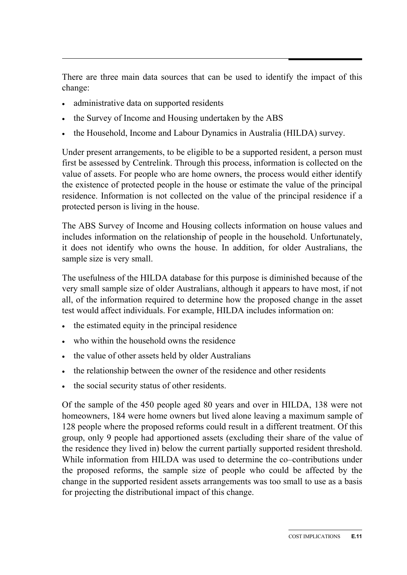There are three main data sources that can be used to identify the impact of this change:

- administrative data on supported residents
- the Survey of Income and Housing undertaken by the ABS
- the Household, Income and Labour Dynamics in Australia (HILDA) survey.

Under present arrangements, to be eligible to be a supported resident, a person must first be assessed by Centrelink. Through this process, information is collected on the value of assets. For people who are home owners, the process would either identify the existence of protected people in the house or estimate the value of the principal residence. Information is not collected on the value of the principal residence if a protected person is living in the house.

The ABS Survey of Income and Housing collects information on house values and includes information on the relationship of people in the household. Unfortunately, it does not identify who owns the house. In addition, for older Australians, the sample size is very small.

The usefulness of the HILDA database for this purpose is diminished because of the very small sample size of older Australians, although it appears to have most, if not all, of the information required to determine how the proposed change in the asset test would affect individuals. For example, HILDA includes information on:

- the estimated equity in the principal residence
- who within the household owns the residence
- the value of other assets held by older Australians
- the relationship between the owner of the residence and other residents
- the social security status of other residents.

Of the sample of the 450 people aged 80 years and over in HILDA, 138 were not homeowners, 184 were home owners but lived alone leaving a maximum sample of 128 people where the proposed reforms could result in a different treatment. Of this group, only 9 people had apportioned assets (excluding their share of the value of the residence they lived in) below the current partially supported resident threshold. While information from HILDA was used to determine the co–contributions under the proposed reforms, the sample size of people who could be affected by the change in the supported resident assets arrangements was too small to use as a basis for projecting the distributional impact of this change.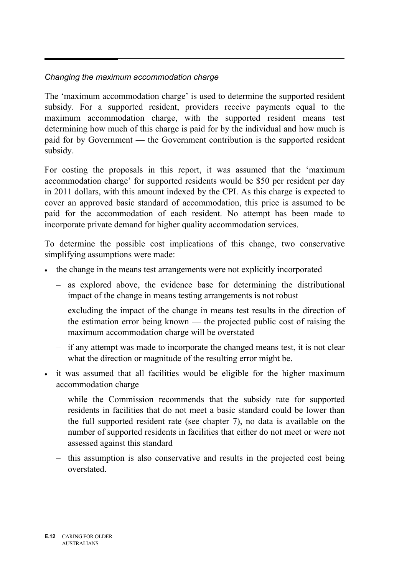#### *Changing the maximum accommodation charge*

The 'maximum accommodation charge' is used to determine the supported resident subsidy. For a supported resident, providers receive payments equal to the maximum accommodation charge, with the supported resident means test determining how much of this charge is paid for by the individual and how much is paid for by Government — the Government contribution is the supported resident subsidy.

For costing the proposals in this report, it was assumed that the 'maximum accommodation charge' for supported residents would be \$50 per resident per day in 2011 dollars, with this amount indexed by the CPI. As this charge is expected to cover an approved basic standard of accommodation, this price is assumed to be paid for the accommodation of each resident. No attempt has been made to incorporate private demand for higher quality accommodation services.

To determine the possible cost implications of this change, two conservative simplifying assumptions were made:

- the change in the means test arrangements were not explicitly incorporated
	- as explored above, the evidence base for determining the distributional impact of the change in means testing arrangements is not robust
	- excluding the impact of the change in means test results in the direction of the estimation error being known — the projected public cost of raising the maximum accommodation charge will be overstated
	- if any attempt was made to incorporate the changed means test, it is not clear what the direction or magnitude of the resulting error might be.
- it was assumed that all facilities would be eligible for the higher maximum accommodation charge
	- while the Commission recommends that the subsidy rate for supported residents in facilities that do not meet a basic standard could be lower than the full supported resident rate (see chapter 7), no data is available on the number of supported residents in facilities that either do not meet or were not assessed against this standard
	- this assumption is also conservative and results in the projected cost being overstated.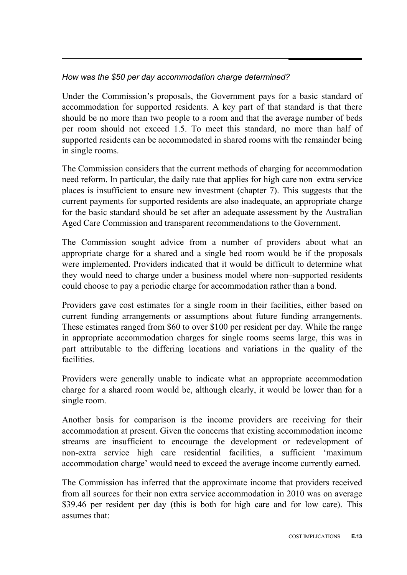## *How was the \$50 per day accommodation charge determined?*

Under the Commission's proposals, the Government pays for a basic standard of accommodation for supported residents. A key part of that standard is that there should be no more than two people to a room and that the average number of beds per room should not exceed 1.5. To meet this standard, no more than half of supported residents can be accommodated in shared rooms with the remainder being in single rooms.

The Commission considers that the current methods of charging for accommodation need reform. In particular, the daily rate that applies for high care non–extra service places is insufficient to ensure new investment (chapter 7). This suggests that the current payments for supported residents are also inadequate, an appropriate charge for the basic standard should be set after an adequate assessment by the Australian Aged Care Commission and transparent recommendations to the Government.

The Commission sought advice from a number of providers about what an appropriate charge for a shared and a single bed room would be if the proposals were implemented. Providers indicated that it would be difficult to determine what they would need to charge under a business model where non–supported residents could choose to pay a periodic charge for accommodation rather than a bond.

Providers gave cost estimates for a single room in their facilities, either based on current funding arrangements or assumptions about future funding arrangements. These estimates ranged from \$60 to over \$100 per resident per day. While the range in appropriate accommodation charges for single rooms seems large, this was in part attributable to the differing locations and variations in the quality of the facilities.

Providers were generally unable to indicate what an appropriate accommodation charge for a shared room would be, although clearly, it would be lower than for a single room.

Another basis for comparison is the income providers are receiving for their accommodation at present. Given the concerns that existing accommodation income streams are insufficient to encourage the development or redevelopment of non-extra service high care residential facilities, a sufficient 'maximum accommodation charge' would need to exceed the average income currently earned.

The Commission has inferred that the approximate income that providers received from all sources for their non extra service accommodation in 2010 was on average \$39.46 per resident per day (this is both for high care and for low care). This assumes that: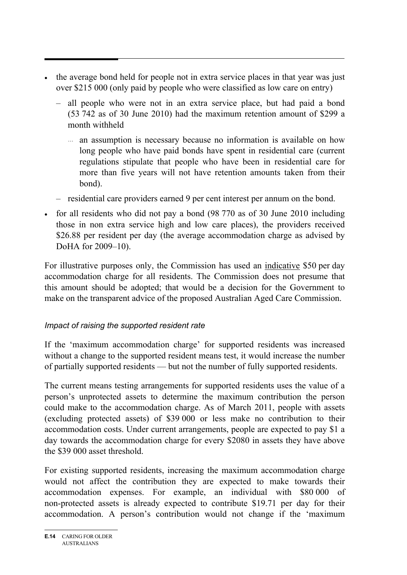- the average bond held for people not in extra service places in that year was just over \$215 000 (only paid by people who were classified as low care on entry)
	- all people who were not in an extra service place, but had paid a bond (53 742 as of 30 June 2010) had the maximum retention amount of \$299 a month withheld
		- ... an assumption is necessary because no information is available on how long people who have paid bonds have spent in residential care (current regulations stipulate that people who have been in residential care for more than five years will not have retention amounts taken from their bond).
	- residential care providers earned 9 per cent interest per annum on the bond.
- for all residents who did not pay a bond (98 770 as of 30 June 2010 including those in non extra service high and low care places), the providers received \$26.88 per resident per day (the average accommodation charge as advised by DoHA for 2009–10).

For illustrative purposes only, the Commission has used an indicative \$50 per day accommodation charge for all residents. The Commission does not presume that this amount should be adopted; that would be a decision for the Government to make on the transparent advice of the proposed Australian Aged Care Commission.

# *Impact of raising the supported resident rate*

If the 'maximum accommodation charge' for supported residents was increased without a change to the supported resident means test, it would increase the number of partially supported residents — but not the number of fully supported residents.

The current means testing arrangements for supported residents uses the value of a person's unprotected assets to determine the maximum contribution the person could make to the accommodation charge. As of March 2011, people with assets (excluding protected assets) of \$39 000 or less make no contribution to their accommodation costs. Under current arrangements, people are expected to pay \$1 a day towards the accommodation charge for every \$2080 in assets they have above the \$39 000 asset threshold.

For existing supported residents, increasing the maximum accommodation charge would not affect the contribution they are expected to make towards their accommodation expenses. For example, an individual with \$80 000 of non-protected assets is already expected to contribute \$19.71 per day for their accommodation. A person's contribution would not change if the 'maximum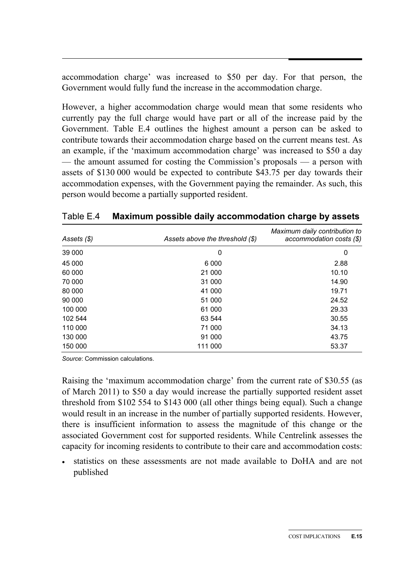accommodation charge' was increased to \$50 per day. For that person, the Government would fully fund the increase in the accommodation charge.

However, a higher accommodation charge would mean that some residents who currently pay the full charge would have part or all of the increase paid by the Government. Table E.4 outlines the highest amount a person can be asked to contribute towards their accommodation charge based on the current means test. As an example, if the 'maximum accommodation charge' was increased to \$50 a day — the amount assumed for costing the Commission's proposals — a person with assets of \$130 000 would be expected to contribute \$43.75 per day towards their accommodation expenses, with the Government paying the remainder. As such, this person would become a partially supported resident.

| Assets (\$) | Assets above the threshold $(\$)$ | Maximum daily contribution to<br>$accommunication \; \;$ (\$) |
|-------------|-----------------------------------|---------------------------------------------------------------|
| 39 000      | 0                                 | 0                                                             |
| 45 000      | 6 0 0 0                           | 2.88                                                          |
| 60 000      | 21 000                            | 10.10                                                         |
| 70 000      | 31 000                            | 14.90                                                         |
| 80 000      | 41 000                            | 19.71                                                         |
| 90 000      | 51 000                            | 24.52                                                         |
| 100 000     | 61 000                            | 29.33                                                         |
| 102 544     | 63 544                            | 30.55                                                         |
| 110 000     | 71 000                            | 34.13                                                         |
| 130 000     | 91 000                            | 43.75                                                         |
| 150 000     | 111 000                           | 53.37                                                         |

Table E.4 **Maximum possible daily accommodation charge by assets** 

*Source*: Commission calculations.

Raising the 'maximum accommodation charge' from the current rate of \$30.55 (as of March 2011) to \$50 a day would increase the partially supported resident asset threshold from \$102 554 to \$143 000 (all other things being equal). Such a change would result in an increase in the number of partially supported residents. However, there is insufficient information to assess the magnitude of this change or the associated Government cost for supported residents. While Centrelink assesses the capacity for incoming residents to contribute to their care and accommodation costs:

• statistics on these assessments are not made available to DoHA and are not published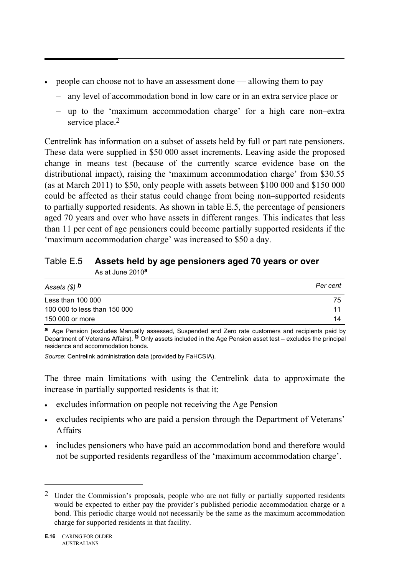- people can choose not to have an assessment done allowing them to pay
	- any level of accommodation bond in low care or in an extra service place or
	- up to the 'maximum accommodation charge' for a high care non–extra service place.<sup>2</sup>

Centrelink has information on a subset of assets held by full or part rate pensioners. These data were supplied in \$50 000 asset increments. Leaving aside the proposed change in means test (because of the currently scarce evidence base on the distributional impact), raising the 'maximum accommodation charge' from \$30.55 (as at March 2011) to \$50, only people with assets between \$100 000 and \$150 000 could be affected as their status could change from being non–supported residents to partially supported residents. As shown in table E.5, the percentage of pensioners aged 70 years and over who have assets in different ranges. This indicates that less than 11 per cent of age pensioners could become partially supported residents if the 'maximum accommodation charge' was increased to \$50 a day.

| Table E.5 Assets held by age pensioners aged 70 years or over |
|---------------------------------------------------------------|
| As at June 2010 <sup>a</sup>                                  |

| Assets $($ $)$ $b$           | Per cent |
|------------------------------|----------|
| Less than $100000$           | 75       |
| 100 000 to less than 150 000 | 11       |
| 150 000 or more              | 14       |

**a** Age Pension (excludes Manually assessed, Suspended and Zero rate customers and recipients paid by Department of Veterans Affairs). **b** Only assets included in the Age Pension asset test – excludes the principal residence and accommodation bonds.

*Source*: Centrelink administration data (provided by FaHCSIA).

The three main limitations with using the Centrelink data to approximate the increase in partially supported residents is that it:

- excludes information on people not receiving the Age Pension
- excludes recipients who are paid a pension through the Department of Veterans' Affairs
- includes pensioners who have paid an accommodation bond and therefore would not be supported residents regardless of the 'maximum accommodation charge'.

 $\overline{a}$ 

<sup>&</sup>lt;sup>2</sup> Under the Commission's proposals, people who are not fully or partially supported residents would be expected to either pay the provider's published periodic accommodation charge or a bond. This periodic charge would not necessarily be the same as the maximum accommodation charge for supported residents in that facility.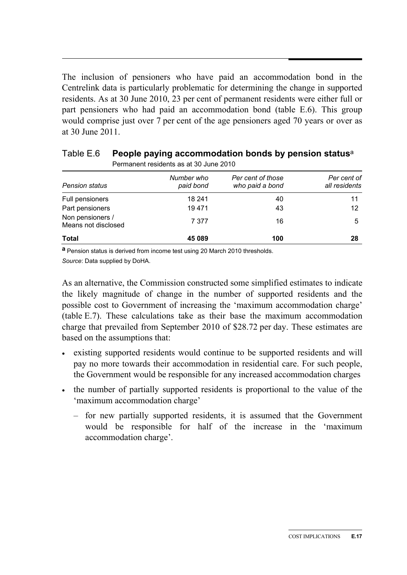The inclusion of pensioners who have paid an accommodation bond in the Centrelink data is particularly problematic for determining the change in supported residents. As at 30 June 2010, 23 per cent of permanent residents were either full or part pensioners who had paid an accommodation bond (table E.6). This group would comprise just over 7 per cent of the age pensioners aged 70 years or over as at 30 June 2011.

| Permanent residents as at 30 June 2010  |                         |                                      |                              |  |
|-----------------------------------------|-------------------------|--------------------------------------|------------------------------|--|
| <b>Pension status</b>                   | Number who<br>paid bond | Per cent of those<br>who paid a bond | Per cent of<br>all residents |  |
| Full pensioners                         | 18 241                  | 40                                   | 11                           |  |
| Part pensioners                         | 19471                   | 43                                   | 12                           |  |
| Non pensioners /<br>Means not disclosed | 7 377                   | 16                                   | 5                            |  |
| <b>Total</b>                            | 45 089                  | 100                                  | 28                           |  |

#### Table E.6 **People paying accommodation bonds by pension status**<sup>a</sup> Permanent residents as at 30 June 2010

**a** Pension status is derived from income test using 20 March 2010 thresholds. *Source*: Data supplied by DoHA.

As an alternative, the Commission constructed some simplified estimates to indicate the likely magnitude of change in the number of supported residents and the possible cost to Government of increasing the 'maximum accommodation charge' (table E.7). These calculations take as their base the maximum accommodation charge that prevailed from September 2010 of \$28.72 per day. These estimates are based on the assumptions that:

- existing supported residents would continue to be supported residents and will pay no more towards their accommodation in residential care. For such people, the Government would be responsible for any increased accommodation charges
- the number of partially supported residents is proportional to the value of the 'maximum accommodation charge'
	- for new partially supported residents, it is assumed that the Government would be responsible for half of the increase in the 'maximum accommodation charge'.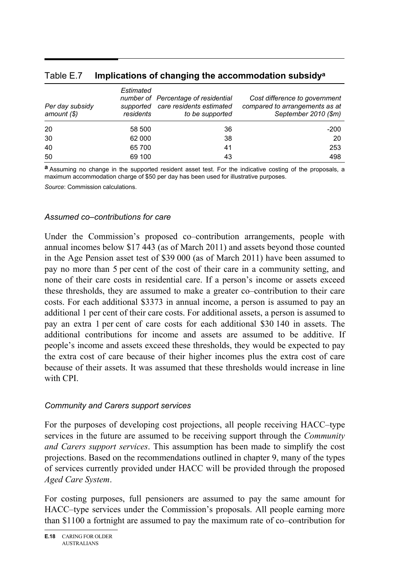| Per day subsidy<br>amount $(\$)$ | Estimated<br>supported<br>residents | number of Percentage of residential<br>care residents estimated<br>to be supported | Cost difference to government<br>compared to arrangements as at<br>September 2010 (\$m) |
|----------------------------------|-------------------------------------|------------------------------------------------------------------------------------|-----------------------------------------------------------------------------------------|
| 20                               | 58 500                              | 36                                                                                 | $-200$                                                                                  |
| 30                               | 62 000                              | 38                                                                                 | 20                                                                                      |
| 40                               | 65 700                              | 41                                                                                 | 253                                                                                     |
| 50                               | 69 100                              | 43                                                                                 | 498                                                                                     |

#### Table E.7 **Implications of changing the accommodation subsidya**

**a** Assuming no change in the supported resident asset test. For the indicative costing of the proposals, a maximum accommodation charge of \$50 per day has been used for illustrative purposes.

*Source*: Commission calculations.

#### *Assumed co–contributions for care*

Under the Commission's proposed co–contribution arrangements, people with annual incomes below \$17 443 (as of March 2011) and assets beyond those counted in the Age Pension asset test of \$39 000 (as of March 2011) have been assumed to pay no more than 5 per cent of the cost of their care in a community setting, and none of their care costs in residential care. If a person's income or assets exceed these thresholds, they are assumed to make a greater co–contribution to their care costs. For each additional \$3373 in annual income, a person is assumed to pay an additional 1 per cent of their care costs. For additional assets, a person is assumed to pay an extra 1 per cent of care costs for each additional \$30 140 in assets. The additional contributions for income and assets are assumed to be additive. If people's income and assets exceed these thresholds, they would be expected to pay the extra cost of care because of their higher incomes plus the extra cost of care because of their assets. It was assumed that these thresholds would increase in line with CPI.

#### *Community and Carers support services*

For the purposes of developing cost projections, all people receiving HACC–type services in the future are assumed to be receiving support through the *Community and Carers support services*. This assumption has been made to simplify the cost projections. Based on the recommendations outlined in chapter 9, many of the types of services currently provided under HACC will be provided through the proposed *Aged Care System*.

For costing purposes, full pensioners are assumed to pay the same amount for HACC–type services under the Commission's proposals. All people earning more than \$1100 a fortnight are assumed to pay the maximum rate of co–contribution for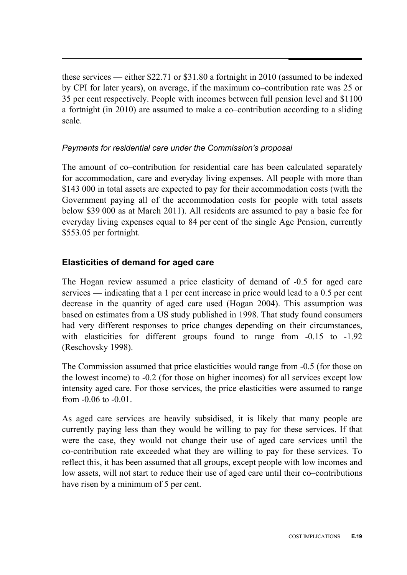these services — either \$22.71 or \$31.80 a fortnight in 2010 (assumed to be indexed by CPI for later years), on average, if the maximum co–contribution rate was 25 or 35 per cent respectively. People with incomes between full pension level and \$1100 a fortnight (in 2010) are assumed to make a co–contribution according to a sliding scale.

#### *Payments for residential care under the Commission's proposal*

The amount of co–contribution for residential care has been calculated separately for accommodation, care and everyday living expenses. All people with more than \$143 000 in total assets are expected to pay for their accommodation costs (with the Government paying all of the accommodation costs for people with total assets below \$39 000 as at March 2011). All residents are assumed to pay a basic fee for everyday living expenses equal to 84 per cent of the single Age Pension, currently \$553.05 per fortnight.

## **Elasticities of demand for aged care**

The Hogan review assumed a price elasticity of demand of -0.5 for aged care services — indicating that a 1 per cent increase in price would lead to a 0.5 per cent decrease in the quantity of aged care used (Hogan 2004). This assumption was based on estimates from a US study published in 1998. That study found consumers had very different responses to price changes depending on their circumstances, with elasticities for different groups found to range from  $-0.15$  to  $-1.92$ (Reschovsky 1998).

The Commission assumed that price elasticities would range from -0.5 (for those on the lowest income) to -0.2 (for those on higher incomes) for all services except low intensity aged care. For those services, the price elasticities were assumed to range from -0.06 to -0.01.

As aged care services are heavily subsidised, it is likely that many people are currently paying less than they would be willing to pay for these services. If that were the case, they would not change their use of aged care services until the co-contribution rate exceeded what they are willing to pay for these services. To reflect this, it has been assumed that all groups, except people with low incomes and low assets, will not start to reduce their use of aged care until their co–contributions have risen by a minimum of 5 per cent.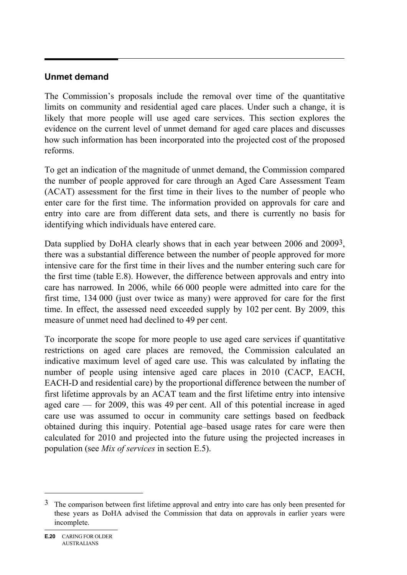#### **Unmet demand**

The Commission's proposals include the removal over time of the quantitative limits on community and residential aged care places. Under such a change, it is likely that more people will use aged care services. This section explores the evidence on the current level of unmet demand for aged care places and discusses how such information has been incorporated into the projected cost of the proposed reforms.

To get an indication of the magnitude of unmet demand, the Commission compared the number of people approved for care through an Aged Care Assessment Team (ACAT) assessment for the first time in their lives to the number of people who enter care for the first time. The information provided on approvals for care and entry into care are from different data sets, and there is currently no basis for identifying which individuals have entered care.

Data supplied by DoHA clearly shows that in each year between 2006 and 2009<sup>3</sup>, there was a substantial difference between the number of people approved for more intensive care for the first time in their lives and the number entering such care for the first time (table E.8). However, the difference between approvals and entry into care has narrowed. In 2006, while 66 000 people were admitted into care for the first time, 134 000 (just over twice as many) were approved for care for the first time. In effect, the assessed need exceeded supply by 102 per cent. By 2009, this measure of unmet need had declined to 49 per cent.

To incorporate the scope for more people to use aged care services if quantitative restrictions on aged care places are removed, the Commission calculated an indicative maximum level of aged care use. This was calculated by inflating the number of people using intensive aged care places in 2010 (CACP, EACH, EACH-D and residential care) by the proportional difference between the number of first lifetime approvals by an ACAT team and the first lifetime entry into intensive aged care — for 2009, this was 49 per cent. All of this potential increase in aged care use was assumed to occur in community care settings based on feedback obtained during this inquiry. Potential age–based usage rates for care were then calculated for 2010 and projected into the future using the projected increases in population (see *Mix of services* in section E.5).

 $\overline{a}$ 

 $3\degree$  The comparison between first lifetime approval and entry into care has only been presented for these years as DoHA advised the Commission that data on approvals in earlier years were incomplete.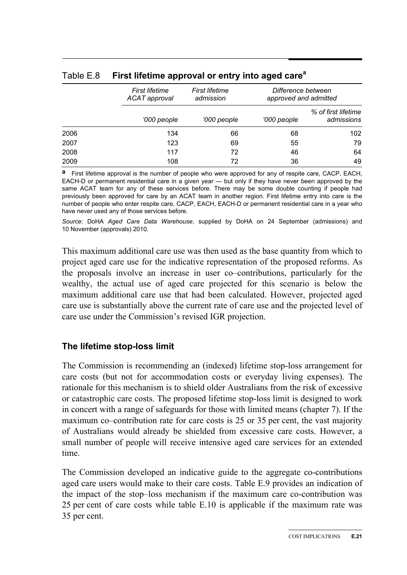|      | First lifetime<br><b>ACAT</b> approval | First lifetime<br>admission | Difference between<br>approved and admitted |                                   |
|------|----------------------------------------|-----------------------------|---------------------------------------------|-----------------------------------|
|      | '000 people                            | '000 people                 | '000 people                                 | % of first lifetime<br>admissions |
| 2006 | 134                                    | 66                          | 68                                          | 102                               |
| 2007 | 123                                    | 69                          | 55                                          | 79                                |
| 2008 | 117                                    | 72                          | 46                                          | 64                                |
| 2009 | 108                                    | 72                          | 36                                          | 49                                |

#### Table E.8 **First lifetime approval or entry into aged care<sup>a</sup>**

**a** First lifetime approval is the number of people who were approved for any of respite care, CACP, EACH, EACH-D or permanent residential care in a given year — but only if they have never been approved by the same ACAT team for any of these services before. There may be some double counting if people had previously been approved for care by an ACAT team in another region. First lifetime entry into care is the number of people who enter respite care, CACP, EACH, EACH-D or permanent residential care in a year who have never used any of those services before.

*Source*: DoHA *Aged Care Data Warehouse*, supplied by DoHA on 24 September (admissions) and 10 November (approvals) 2010.

This maximum additional care use was then used as the base quantity from which to project aged care use for the indicative representation of the proposed reforms. As the proposals involve an increase in user co–contributions, particularly for the wealthy, the actual use of aged care projected for this scenario is below the maximum additional care use that had been calculated. However, projected aged care use is substantially above the current rate of care use and the projected level of care use under the Commission's revised IGR projection.

#### **The lifetime stop-loss limit**

The Commission is recommending an (indexed) lifetime stop-loss arrangement for care costs (but not for accommodation costs or everyday living expenses). The rationale for this mechanism is to shield older Australians from the risk of excessive or catastrophic care costs. The proposed lifetime stop-loss limit is designed to work in concert with a range of safeguards for those with limited means (chapter 7). If the maximum co–contribution rate for care costs is 25 or 35 per cent, the vast majority of Australians would already be shielded from excessive care costs. However, a small number of people will receive intensive aged care services for an extended time.

The Commission developed an indicative guide to the aggregate co-contributions aged care users would make to their care costs. Table E.9 provides an indication of the impact of the stop–loss mechanism if the maximum care co-contribution was 25 per cent of care costs while table E.10 is applicable if the maximum rate was 35 per cent.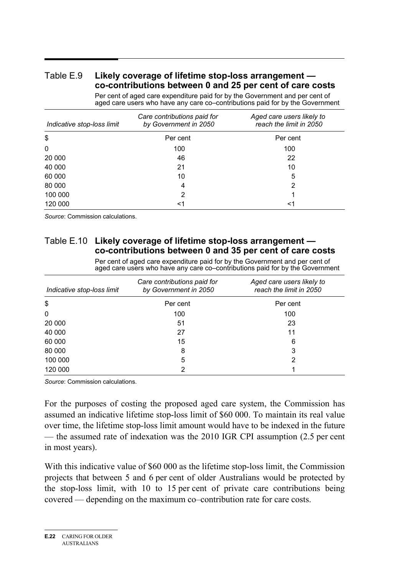#### Table E.9 **Likely coverage of lifetime stop-loss arrangement co-contributions between 0 and 25 per cent of care costs**

Per cent of aged care expenditure paid for by the Government and per cent of aged care users who have any care co–contributions paid for by the Government

| Indicative stop-loss limit | Care contributions paid for<br>by Government in 2050 | Aged care users likely to<br>reach the limit in 2050 |
|----------------------------|------------------------------------------------------|------------------------------------------------------|
| \$                         | Per cent                                             | Per cent                                             |
| 0                          | 100                                                  | 100                                                  |
| 20 000                     | 46                                                   | 22                                                   |
| 40 000                     | 21                                                   | 10                                                   |
| 60 000                     | 10                                                   | 5                                                    |
| 80 000                     | 4                                                    | 2                                                    |
| 100 000                    | 2                                                    |                                                      |
| 120 000                    | <1                                                   | $<$ 1                                                |

*Source*: Commission calculations.

#### Table E.10 **Likely coverage of lifetime stop-loss arrangement co-contributions between 0 and 35 per cent of care costs**

Per cent of aged care expenditure paid for by the Government and per cent of aged care users who have any care co–contributions paid for by the Government

| Indicative stop-loss limit | Care contributions paid for<br>by Government in 2050 | Aged care users likely to<br>reach the limit in 2050 |
|----------------------------|------------------------------------------------------|------------------------------------------------------|
| \$                         | Per cent                                             | Per cent                                             |
| 0                          | 100                                                  | 100                                                  |
| 20 000                     | 51                                                   | 23                                                   |
| 40 000                     | 27                                                   | 11                                                   |
| 60 000                     | 15                                                   | 6                                                    |
| 80 000                     | 8                                                    | 3                                                    |
| 100 000                    | 5                                                    | 2                                                    |
| 120 000                    | າ                                                    |                                                      |

*Source*: Commission calculations.

For the purposes of costing the proposed aged care system, the Commission has assumed an indicative lifetime stop-loss limit of \$60 000. To maintain its real value over time, the lifetime stop-loss limit amount would have to be indexed in the future — the assumed rate of indexation was the 2010 IGR CPI assumption (2.5 per cent in most years).

With this indicative value of \$60 000 as the lifetime stop-loss limit, the Commission projects that between 5 and 6 per cent of older Australians would be protected by the stop-loss limit, with 10 to 15 per cent of private care contributions being covered — depending on the maximum co–contribution rate for care costs.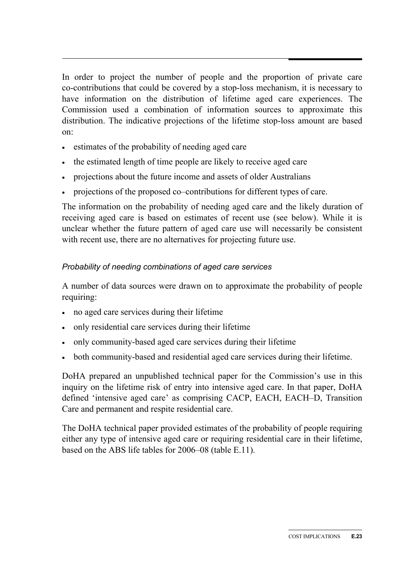In order to project the number of people and the proportion of private care co-contributions that could be covered by a stop-loss mechanism, it is necessary to have information on the distribution of lifetime aged care experiences. The Commission used a combination of information sources to approximate this distribution. The indicative projections of the lifetime stop-loss amount are based on:

- estimates of the probability of needing aged care
- the estimated length of time people are likely to receive aged care
- projections about the future income and assets of older Australians
- projections of the proposed co–contributions for different types of care.

The information on the probability of needing aged care and the likely duration of receiving aged care is based on estimates of recent use (see below). While it is unclear whether the future pattern of aged care use will necessarily be consistent with recent use, there are no alternatives for projecting future use.

## *Probability of needing combinations of aged care services*

A number of data sources were drawn on to approximate the probability of people requiring:

- no aged care services during their lifetime
- only residential care services during their lifetime
- only community-based aged care services during their lifetime
- both community-based and residential aged care services during their lifetime.

DoHA prepared an unpublished technical paper for the Commission's use in this inquiry on the lifetime risk of entry into intensive aged care. In that paper, DoHA defined 'intensive aged care' as comprising CACP, EACH, EACH–D, Transition Care and permanent and respite residential care.

The DoHA technical paper provided estimates of the probability of people requiring either any type of intensive aged care or requiring residential care in their lifetime, based on the ABS life tables for 2006–08 (table E.11).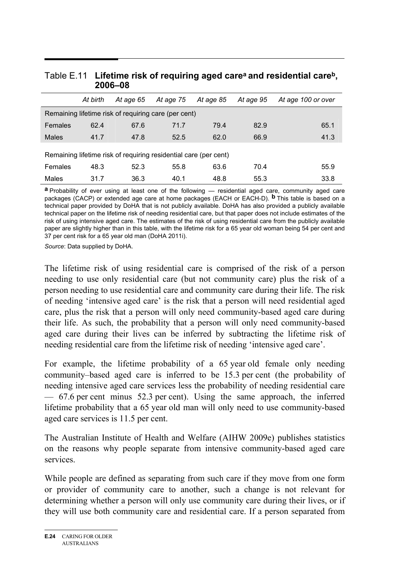|         | At birth | At age 65                                                        | At age 75 | At age 85 | At age 95 | At age 100 or over |  |
|---------|----------|------------------------------------------------------------------|-----------|-----------|-----------|--------------------|--|
|         |          | Remaining lifetime risk of requiring care (per cent)             |           |           |           |                    |  |
| Females | 62.4     | 67.6                                                             | 71.7      | 79.4      | 82.9      | 65.1               |  |
| Males   | 41.7     | 47.8                                                             | 52.5      | 62.0      | 66.9      | 41.3               |  |
|         |          | Remaining lifetime risk of requiring residential care (per cent) |           |           |           |                    |  |
| Females | 48.3     | 52.3                                                             | 55.8      | 63.6      | 70.4      | 55.9               |  |
| Males   | 31.7     | 36.3                                                             | 40.1      | 48.8      | 55.3      | 33.8               |  |

#### Table E.11 **Lifetime risk of requiring aged carea and residential careb, 2006–08**

**a** Probability of ever using at least one of the following — residential aged care, community aged care packages (CACP) or extended age care at home packages (EACH or EACH-D). **b** This table is based on a technical paper provided by DoHA that is not publicly available. DoHA has also provided a publicly available technical paper on the lifetime risk of needing residential care, but that paper does not include estimates of the risk of using intensive aged care. The estimates of the risk of using residential care from the publicly available paper are slightly higher than in this table, with the lifetime risk for a 65 year old woman being 54 per cent and 37 per cent risk for a 65 year old man (DoHA 2011i).

*Source*: Data supplied by DoHA.

The lifetime risk of using residential care is comprised of the risk of a person needing to use only residential care (but not community care) plus the risk of a person needing to use residential care and community care during their life. The risk of needing 'intensive aged care' is the risk that a person will need residential aged care, plus the risk that a person will only need community-based aged care during their life. As such, the probability that a person will only need community-based aged care during their lives can be inferred by subtracting the lifetime risk of needing residential care from the lifetime risk of needing 'intensive aged care'.

For example, the lifetime probability of a 65 year old female only needing community–based aged care is inferred to be 15.3 per cent (the probability of needing intensive aged care services less the probability of needing residential care — 67.6 per cent minus 52.3 per cent). Using the same approach, the inferred lifetime probability that a 65 year old man will only need to use community-based aged care services is 11.5 per cent.

The Australian Institute of Health and Welfare (AIHW 2009e) publishes statistics on the reasons why people separate from intensive community-based aged care services.

While people are defined as separating from such care if they move from one form or provider of community care to another, such a change is not relevant for determining whether a person will only use community care during their lives, or if they will use both community care and residential care. If a person separated from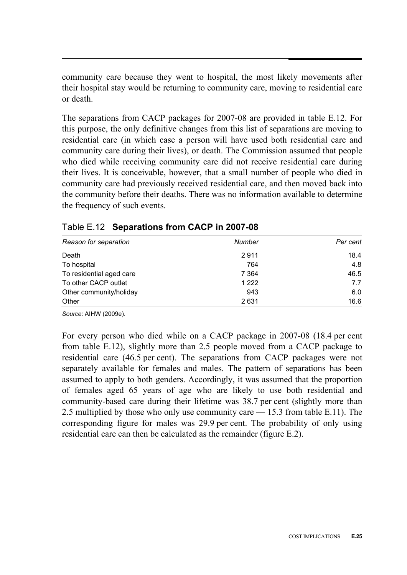community care because they went to hospital, the most likely movements after their hospital stay would be returning to community care, moving to residential care or death.

The separations from CACP packages for 2007-08 are provided in table E.12. For this purpose, the only definitive changes from this list of separations are moving to residential care (in which case a person will have used both residential care and community care during their lives), or death. The Commission assumed that people who died while receiving community care did not receive residential care during their lives. It is conceivable, however, that a small number of people who died in community care had previously received residential care, and then moved back into the community before their deaths. There was no information available to determine the frequency of such events.

| Reason for separation    | <b>Number</b> | Per cent |
|--------------------------|---------------|----------|
| Death                    | 2911          | 18.4     |
| To hospital              | 764           | 4.8      |
| To residential aged care | 7 3 6 4       | 46.5     |
| To other CACP outlet     | 1 2 2 2       | 7.7      |
| Other community/holiday  | 943           | 6.0      |
| Other                    | 2631          | 16.6     |

|  | Table E.12 Separations from CACP in 2007-08 |  |  |
|--|---------------------------------------------|--|--|
|--|---------------------------------------------|--|--|

*Source*: AIHW (2009e).

For every person who died while on a CACP package in 2007-08 (18.4 per cent from table E.12), slightly more than 2.5 people moved from a CACP package to residential care (46.5 per cent). The separations from CACP packages were not separately available for females and males. The pattern of separations has been assumed to apply to both genders. Accordingly, it was assumed that the proportion of females aged 65 years of age who are likely to use both residential and community-based care during their lifetime was 38.7 per cent (slightly more than 2.5 multiplied by those who only use community care — 15.3 from table E.11). The corresponding figure for males was 29.9 per cent. The probability of only using residential care can then be calculated as the remainder (figure E.2).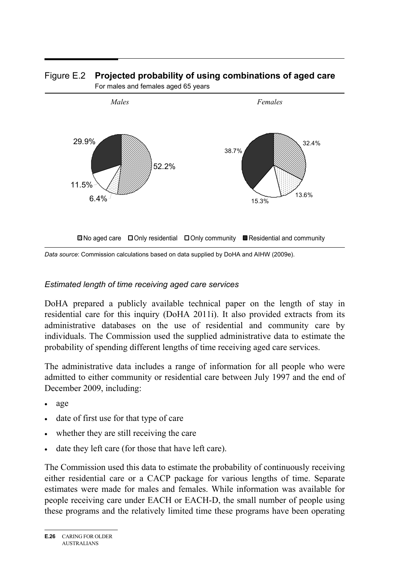

#### Figure E.2 **Projected probability of using combinations of aged care**  For males and females aged 65 years

*Data source*: Commission calculations based on data supplied by DoHA and AIHW (2009e).

#### *Estimated length of time receiving aged care services*

DoHA prepared a publicly available technical paper on the length of stay in residential care for this inquiry (DoHA 2011i). It also provided extracts from its administrative databases on the use of residential and community care by individuals. The Commission used the supplied administrative data to estimate the probability of spending different lengths of time receiving aged care services.

The administrative data includes a range of information for all people who were admitted to either community or residential care between July 1997 and the end of December 2009, including:

- age
- date of first use for that type of care
- whether they are still receiving the care
- date they left care (for those that have left care).

The Commission used this data to estimate the probability of continuously receiving either residential care or a CACP package for various lengths of time. Separate estimates were made for males and females. While information was available for people receiving care under EACH or EACH-D, the small number of people using these programs and the relatively limited time these programs have been operating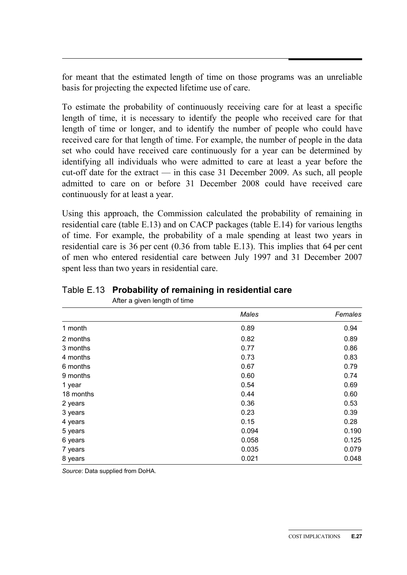for meant that the estimated length of time on those programs was an unreliable basis for projecting the expected lifetime use of care.

To estimate the probability of continuously receiving care for at least a specific length of time, it is necessary to identify the people who received care for that length of time or longer, and to identify the number of people who could have received care for that length of time. For example, the number of people in the data set who could have received care continuously for a year can be determined by identifying all individuals who were admitted to care at least a year before the cut-off date for the extract — in this case 31 December 2009. As such, all people admitted to care on or before 31 December 2008 could have received care continuously for at least a year.

Using this approach, the Commission calculated the probability of remaining in residential care (table E.13) and on CACP packages (table E.14) for various lengths of time. For example, the probability of a male spending at least two years in residential care is 36 per cent (0.36 from table E.13). This implies that 64 per cent of men who entered residential care between July 1997 and 31 December 2007 spent less than two years in residential care.

|           | Males | Females |
|-----------|-------|---------|
| 1 month   | 0.89  | 0.94    |
| 2 months  | 0.82  | 0.89    |
| 3 months  | 0.77  | 0.86    |
| 4 months  | 0.73  | 0.83    |
| 6 months  | 0.67  | 0.79    |
| 9 months  | 0.60  | 0.74    |
| 1 year    | 0.54  | 0.69    |
| 18 months | 0.44  | 0.60    |
| 2 years   | 0.36  | 0.53    |
| 3 years   | 0.23  | 0.39    |
| 4 years   | 0.15  | 0.28    |
| 5 years   | 0.094 | 0.190   |
| 6 years   | 0.058 | 0.125   |
| 7 years   | 0.035 | 0.079   |
| 8 years   | 0.021 | 0.048   |

Table E.13 **Probability of remaining in residential care**  After a given length of time

*Source*: Data supplied from DoHA.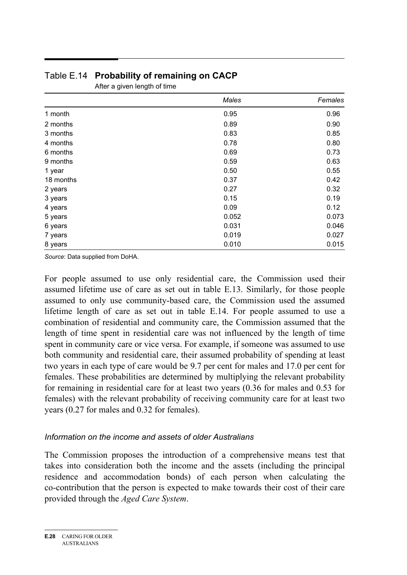|           | Males | Females |
|-----------|-------|---------|
| 1 month   | 0.95  | 0.96    |
| 2 months  | 0.89  | 0.90    |
| 3 months  | 0.83  | 0.85    |
| 4 months  | 0.78  | 0.80    |
| 6 months  | 0.69  | 0.73    |
| 9 months  | 0.59  | 0.63    |
| 1 year    | 0.50  | 0.55    |
| 18 months | 0.37  | 0.42    |
| 2 years   | 0.27  | 0.32    |
| 3 years   | 0.15  | 0.19    |
| 4 years   | 0.09  | 0.12    |
| 5 years   | 0.052 | 0.073   |
| 6 years   | 0.031 | 0.046   |
| 7 years   | 0.019 | 0.027   |
| 8 years   | 0.010 | 0.015   |

# Table E.14 **Probability of remaining on CACP**

After a given length of time

*Source*: Data supplied from DoHA.

For people assumed to use only residential care, the Commission used their assumed lifetime use of care as set out in table E.13. Similarly, for those people assumed to only use community-based care, the Commission used the assumed lifetime length of care as set out in table E.14. For people assumed to use a combination of residential and community care, the Commission assumed that the length of time spent in residential care was not influenced by the length of time spent in community care or vice versa. For example, if someone was assumed to use both community and residential care, their assumed probability of spending at least two years in each type of care would be 9.7 per cent for males and 17.0 per cent for females. These probabilities are determined by multiplying the relevant probability for remaining in residential care for at least two years (0.36 for males and 0.53 for females) with the relevant probability of receiving community care for at least two years (0.27 for males and 0.32 for females).

#### *Information on the income and assets of older Australians*

The Commission proposes the introduction of a comprehensive means test that takes into consideration both the income and the assets (including the principal residence and accommodation bonds) of each person when calculating the co-contribution that the person is expected to make towards their cost of their care provided through the *Aged Care System*.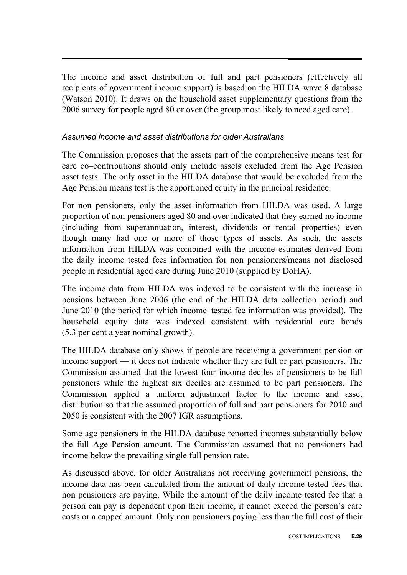The income and asset distribution of full and part pensioners (effectively all recipients of government income support) is based on the HILDA wave 8 database (Watson 2010). It draws on the household asset supplementary questions from the 2006 survey for people aged 80 or over (the group most likely to need aged care).

#### *Assumed income and asset distributions for older Australians*

The Commission proposes that the assets part of the comprehensive means test for care co–contributions should only include assets excluded from the Age Pension asset tests. The only asset in the HILDA database that would be excluded from the Age Pension means test is the apportioned equity in the principal residence.

For non pensioners, only the asset information from HILDA was used. A large proportion of non pensioners aged 80 and over indicated that they earned no income (including from superannuation, interest, dividends or rental properties) even though many had one or more of those types of assets. As such, the assets information from HILDA was combined with the income estimates derived from the daily income tested fees information for non pensioners/means not disclosed people in residential aged care during June 2010 (supplied by DoHA).

The income data from HILDA was indexed to be consistent with the increase in pensions between June 2006 (the end of the HILDA data collection period) and June 2010 (the period for which income–tested fee information was provided). The household equity data was indexed consistent with residential care bonds (5.3 per cent a year nominal growth).

The HILDA database only shows if people are receiving a government pension or income support — it does not indicate whether they are full or part pensioners. The Commission assumed that the lowest four income deciles of pensioners to be full pensioners while the highest six deciles are assumed to be part pensioners. The Commission applied a uniform adjustment factor to the income and asset distribution so that the assumed proportion of full and part pensioners for 2010 and 2050 is consistent with the 2007 IGR assumptions.

Some age pensioners in the HILDA database reported incomes substantially below the full Age Pension amount. The Commission assumed that no pensioners had income below the prevailing single full pension rate.

As discussed above, for older Australians not receiving government pensions, the income data has been calculated from the amount of daily income tested fees that non pensioners are paying. While the amount of the daily income tested fee that a person can pay is dependent upon their income, it cannot exceed the person's care costs or a capped amount. Only non pensioners paying less than the full cost of their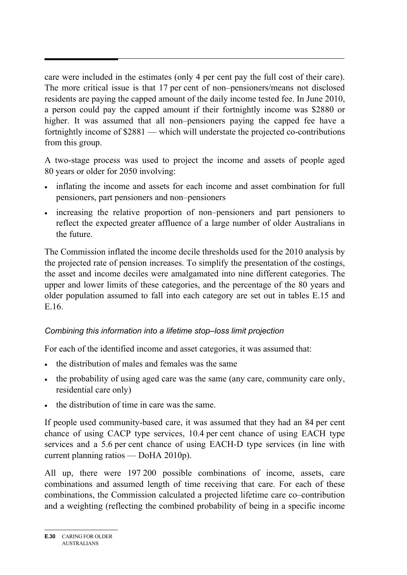care were included in the estimates (only 4 per cent pay the full cost of their care). The more critical issue is that 17 per cent of non–pensioners/means not disclosed residents are paying the capped amount of the daily income tested fee. In June 2010, a person could pay the capped amount if their fortnightly income was \$2880 or higher. It was assumed that all non–pensioners paying the capped fee have a fortnightly income of \$2881 — which will understate the projected co-contributions from this group.

A two-stage process was used to project the income and assets of people aged 80 years or older for 2050 involving:

- inflating the income and assets for each income and asset combination for full pensioners, part pensioners and non–pensioners
- increasing the relative proportion of non–pensioners and part pensioners to reflect the expected greater affluence of a large number of older Australians in the future.

The Commission inflated the income decile thresholds used for the 2010 analysis by the projected rate of pension increases. To simplify the presentation of the costings, the asset and income deciles were amalgamated into nine different categories. The upper and lower limits of these categories, and the percentage of the 80 years and older population assumed to fall into each category are set out in tables E.15 and E.16.

# *Combining this information into a lifetime stop–loss limit projection*

For each of the identified income and asset categories, it was assumed that:

- the distribution of males and females was the same
- the probability of using aged care was the same (any care, community care only, residential care only)
- the distribution of time in care was the same.

If people used community-based care, it was assumed that they had an 84 per cent chance of using CACP type services, 10.4 per cent chance of using EACH type services and a 5.6 per cent chance of using EACH-D type services (in line with current planning ratios — DoHA 2010p).

All up, there were 197 200 possible combinations of income, assets, care combinations and assumed length of time receiving that care. For each of these combinations, the Commission calculated a projected lifetime care co–contribution and a weighting (reflecting the combined probability of being in a specific income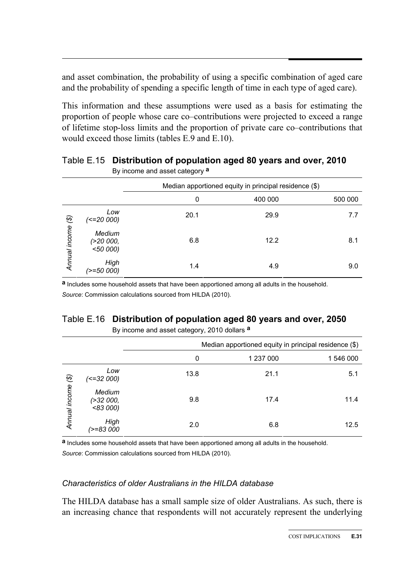and asset combination, the probability of using a specific combination of aged care and the probability of spending a specific length of time in each type of aged care).

This information and these assumptions were used as a basis for estimating the proportion of people whose care co–contributions were projected to exceed a range of lifetime stop-loss limits and the proportion of private care co–contributions that would exceed those limits (tables E.9 and E.10).

|               |                                              | . <b>. .</b> . |                                                       |         |
|---------------|----------------------------------------------|----------------|-------------------------------------------------------|---------|
|               |                                              |                | Median apportioned equity in principal residence (\$) |         |
|               |                                              | 0              | 400 000                                               | 500 000 |
| $\circledS$   | Low<br>(<=20 000)                            | 20.1           | 29.9                                                  | 7.7     |
| Annual income | <b>Medium</b><br>( >20 000, )<br>$<$ 50 000) | 6.8            | 12.2                                                  | 8.1     |
|               | High<br>(>=50 000)                           | 1.4            | 4.9                                                   | 9.0     |

Table E.15 **Distribution of population aged 80 years and over, 2010**  By income and asset category **a** 

**a** Includes some household assets that have been apportioned among all adults in the household. *Source*: Commission calculations sourced from HILDA (2010).

# Table E.16 **Distribution of population aged 80 years and over, 2050**

By income and asset category, 2010 dollars **a** 

|               |                                           |      | Median apportioned equity in principal residence (\$) |           |
|---------------|-------------------------------------------|------|-------------------------------------------------------|-----------|
|               |                                           | 0    | 1 237 000                                             | 1 546 000 |
| $\circledast$ | Low<br>(<=32 000)                         | 13.8 | 21.1                                                  | 5.1       |
| Annual income | <b>Medium</b><br>( > 32 000, )<br>< 83000 | 9.8  | 17.4                                                  | 11.4      |
|               | High<br>/>=83 000                         | 2.0  | 6.8                                                   | 12.5      |

**a** Includes some household assets that have been apportioned among all adults in the household.

*Source*: Commission calculations sourced from HILDA (2010).

#### *Characteristics of older Australians in the HILDA database*

The HILDA database has a small sample size of older Australians. As such, there is an increasing chance that respondents will not accurately represent the underlying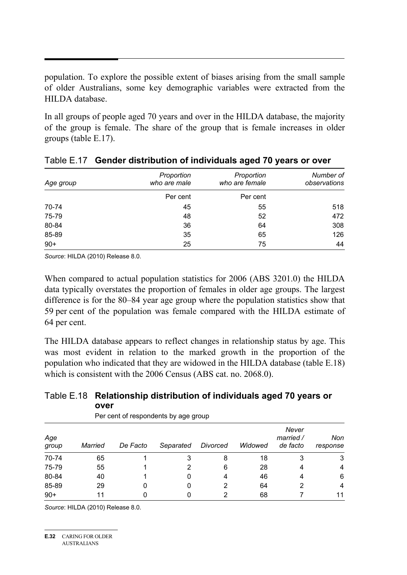population. To explore the possible extent of biases arising from the small sample of older Australians, some key demographic variables were extracted from the HILDA database.

In all groups of people aged 70 years and over in the HILDA database, the majority of the group is female. The share of the group that is female increases in older groups (table E.17).

| Age group | Proportion<br>who are male | Proportion<br>who are female | Number of<br>observations |
|-----------|----------------------------|------------------------------|---------------------------|
|           | Per cent                   | Per cent                     |                           |
| 70-74     | 45                         | 55                           | 518                       |
| 75-79     | 48                         | 52                           | 472                       |
| 80-84     | 36                         | 64                           | 308                       |
| 85-89     | 35                         | 65                           | 126                       |
| $90+$     | 25                         | 75                           | 44                        |

|  | Table E.17 Gender distribution of individuals aged 70 years or over |  |  |  |
|--|---------------------------------------------------------------------|--|--|--|
|--|---------------------------------------------------------------------|--|--|--|

*Source*: HILDA (2010) Release 8.0.

When compared to actual population statistics for 2006 (ABS 3201.0) the HILDA data typically overstates the proportion of females in older age groups. The largest difference is for the 80–84 year age group where the population statistics show that 59 per cent of the population was female compared with the HILDA estimate of 64 per cent.

The HILDA database appears to reflect changes in relationship status by age. This was most evident in relation to the marked growth in the proportion of the population who indicated that they are widowed in the HILDA database (table E.18) which is consistent with the 2006 Census (ABS cat. no. 2068.0).

#### Table E.18 **Relationship distribution of individuals aged 70 years or over**

| Age<br>group | <b>Married</b> | De Facto | Separated | Divorced | Widowed | Never<br>married /<br>de facto | Non<br>response |
|--------------|----------------|----------|-----------|----------|---------|--------------------------------|-----------------|
| 70-74        | 65             |          |           | 8        | 18      | 3                              | 3               |
| 75-79        | 55             |          | 2         | 6        | 28      | 4                              | $\overline{4}$  |
| 80-84        | 40             |          | 0         | 4        | 46      | 4                              | 6               |
| 85-89        | 29             |          | O         |          | 64      | 2                              | $\overline{4}$  |
| $90+$        | 11             |          |           |          | 68      |                                | 11              |

Per cent of respondents by age group

*Source*: HILDA (2010) Release 8.0.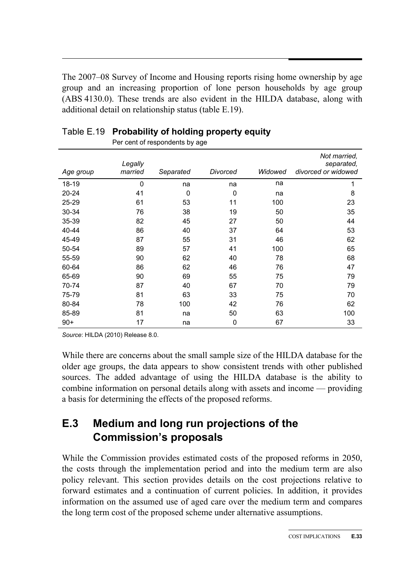The 2007–08 Survey of Income and Housing reports rising home ownership by age group and an increasing proportion of lone person households by age group (ABS 4130.0). These trends are also evident in the HILDA database, along with additional detail on relationship status (table E.19).

| Age group | Legally<br>married | Separated | Divorced | Widowed | Not married,<br>separated,<br>divorced or widowed |
|-----------|--------------------|-----------|----------|---------|---------------------------------------------------|
| 18-19     | 0                  | na        | na       | na      | 1                                                 |
| 20-24     | 41                 | 0         | 0        | na      | 8                                                 |
| 25-29     | 61                 | 53        | 11       | 100     | 23                                                |
| 30-34     | 76                 | 38        | 19       | 50      | 35                                                |
| 35-39     | 82                 | 45        | 27       | 50      | 44                                                |
| 40-44     | 86                 | 40        | 37       | 64      | 53                                                |
| 45-49     | 87                 | 55        | 31       | 46      | 62                                                |
| 50-54     | 89                 | 57        | 41       | 100     | 65                                                |
| 55-59     | 90                 | 62        | 40       | 78      | 68                                                |
| 60-64     | 86                 | 62        | 46       | 76      | 47                                                |
| 65-69     | 90                 | 69        | 55       | 75      | 79                                                |
| 70-74     | 87                 | 40        | 67       | 70      | 79                                                |
| 75-79     | 81                 | 63        | 33       | 75      | 70                                                |
| 80-84     | 78                 | 100       | 42       | 76      | 62                                                |
| 85-89     | 81                 | na        | 50       | 63      | 100                                               |
| $90+$     | 17                 | na        | 0        | 67      | 33                                                |

# Table E.19 **Probability of holding property equity**

Per cent of respondents by age

*Source*: HILDA (2010) Release 8.0.

While there are concerns about the small sample size of the HILDA database for the older age groups, the data appears to show consistent trends with other published sources. The added advantage of using the HILDA database is the ability to combine information on personal details along with assets and income — providing a basis for determining the effects of the proposed reforms.

# **E.3 Medium and long run projections of the Commission's proposals**

While the Commission provides estimated costs of the proposed reforms in 2050, the costs through the implementation period and into the medium term are also policy relevant. This section provides details on the cost projections relative to forward estimates and a continuation of current policies. In addition, it provides information on the assumed use of aged care over the medium term and compares the long term cost of the proposed scheme under alternative assumptions.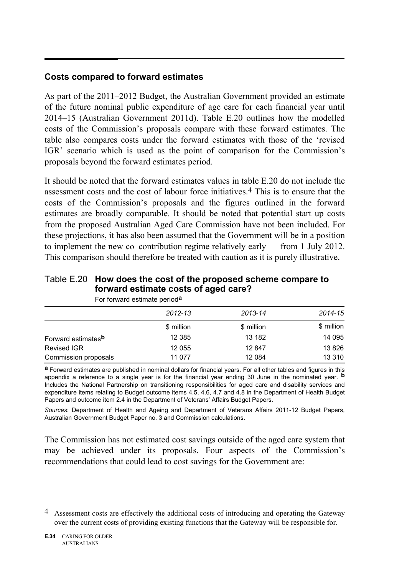# **Costs compared to forward estimates**

As part of the 2011–2012 Budget, the Australian Government provided an estimate of the future nominal public expenditure of age care for each financial year until 2014–15 (Australian Government 2011d). Table E.20 outlines how the modelled costs of the Commission's proposals compare with these forward estimates. The table also compares costs under the forward estimates with those of the 'revised IGR' scenario which is used as the point of comparison for the Commission's proposals beyond the forward estimates period.

It should be noted that the forward estimates values in table E.20 do not include the assessment costs and the cost of labour force initiatives.4 This is to ensure that the costs of the Commission's proposals and the figures outlined in the forward estimates are broadly comparable. It should be noted that potential start up costs from the proposed Australian Aged Care Commission have not been included. For these projections, it has also been assumed that the Government will be in a position to implement the new co–contribution regime relatively early — from 1 July 2012. This comparison should therefore be treated with caution as it is purely illustrative.

#### Table E.20 **How does the cost of the proposed scheme compare to forward estimate costs of aged care?**

|                                | 2012-13    | 2013-14    | 2014-15    |
|--------------------------------|------------|------------|------------|
|                                | \$ million | \$ million | \$ million |
| Forward estimates <sup>b</sup> | 12 3 8 5   | 13 182     | 14 095     |
| <b>Revised IGR</b>             | 12 055     | 12847      | 13 8 26    |
| Commission proposals           | 11 077     | 12 0 84    | 13 3 10    |

For forward estimate period**a**

**a** Forward estimates are published in nominal dollars for financial years. For all other tables and figures in this appendix a reference to a single year is for the financial year ending 30 June in the nominated year. **b** Includes the National Partnership on transitioning responsibilities for aged care and disability services and expenditure items relating to Budget outcome items 4.5, 4.6, 4.7 and 4.8 in the Department of Health Budget Papers and outcome item 2.4 in the Department of Veterans' Affairs Budget Papers.

*Sources*: Department of Health and Ageing and Department of Veterans Affairs 2011-12 Budget Papers, Australian Government Budget Paper no. 3 and Commission calculations.

The Commission has not estimated cost savings outside of the aged care system that may be achieved under its proposals. Four aspects of the Commission's recommendations that could lead to cost savings for the Government are:

 $\overline{a}$ 

<sup>4</sup> Assessment costs are effectively the additional costs of introducing and operating the Gateway over the current costs of providing existing functions that the Gateway will be responsible for.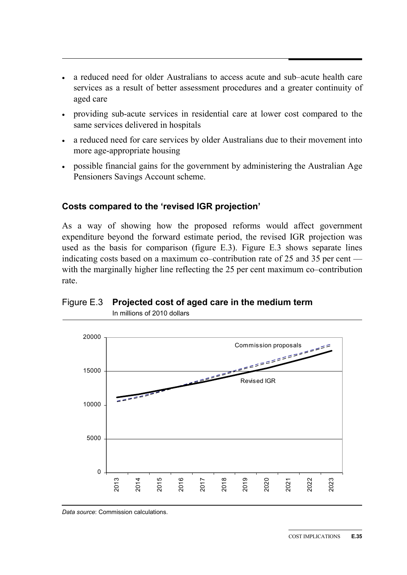- a reduced need for older Australians to access acute and sub–acute health care services as a result of better assessment procedures and a greater continuity of aged care
- providing sub-acute services in residential care at lower cost compared to the same services delivered in hospitals
- a reduced need for care services by older Australians due to their movement into more age-appropriate housing
- possible financial gains for the government by administering the Australian Age Pensioners Savings Account scheme.

# **Costs compared to the 'revised IGR projection'**

As a way of showing how the proposed reforms would affect government expenditure beyond the forward estimate period, the revised IGR projection was used as the basis for comparison (figure E.3). Figure E.3 shows separate lines indicating costs based on a maximum co–contribution rate of 25 and 35 per cent with the marginally higher line reflecting the 25 per cent maximum co–contribution rate.

# Figure E.3 **Projected cost of aged care in the medium term**



In millions of 2010 dollars

*Data source*: Commission calculations.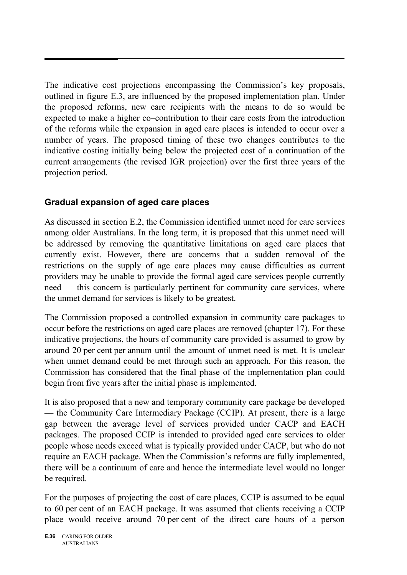The indicative cost projections encompassing the Commission's key proposals, outlined in figure E.3, are influenced by the proposed implementation plan. Under the proposed reforms, new care recipients with the means to do so would be expected to make a higher co–contribution to their care costs from the introduction of the reforms while the expansion in aged care places is intended to occur over a number of years. The proposed timing of these two changes contributes to the indicative costing initially being below the projected cost of a continuation of the current arrangements (the revised IGR projection) over the first three years of the projection period.

# **Gradual expansion of aged care places**

As discussed in section E.2, the Commission identified unmet need for care services among older Australians. In the long term, it is proposed that this unmet need will be addressed by removing the quantitative limitations on aged care places that currently exist. However, there are concerns that a sudden removal of the restrictions on the supply of age care places may cause difficulties as current providers may be unable to provide the formal aged care services people currently need — this concern is particularly pertinent for community care services, where the unmet demand for services is likely to be greatest.

The Commission proposed a controlled expansion in community care packages to occur before the restrictions on aged care places are removed (chapter 17). For these indicative projections, the hours of community care provided is assumed to grow by around 20 per cent per annum until the amount of unmet need is met. It is unclear when unmet demand could be met through such an approach. For this reason, the Commission has considered that the final phase of the implementation plan could begin from five years after the initial phase is implemented.

It is also proposed that a new and temporary community care package be developed — the Community Care Intermediary Package (CCIP). At present, there is a large gap between the average level of services provided under CACP and EACH packages. The proposed CCIP is intended to provided aged care services to older people whose needs exceed what is typically provided under CACP, but who do not require an EACH package. When the Commission's reforms are fully implemented, there will be a continuum of care and hence the intermediate level would no longer be required.

For the purposes of projecting the cost of care places, CCIP is assumed to be equal to 60 per cent of an EACH package. It was assumed that clients receiving a CCIP place would receive around 70 per cent of the direct care hours of a person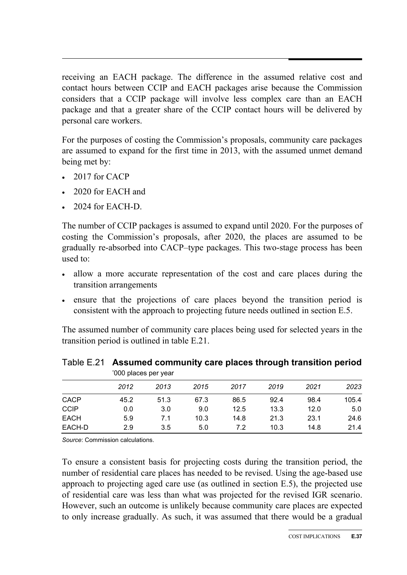receiving an EACH package. The difference in the assumed relative cost and contact hours between CCIP and EACH packages arise because the Commission considers that a CCIP package will involve less complex care than an EACH package and that a greater share of the CCIP contact hours will be delivered by personal care workers.

For the purposes of costing the Commission's proposals, community care packages are assumed to expand for the first time in 2013, with the assumed unmet demand being met by:

- $\cdot$  2017 for CACP
- 2020 for EACH and
- $\cdot$  2024 for EACH-D.

The number of CCIP packages is assumed to expand until 2020. For the purposes of costing the Commission's proposals, after 2020, the places are assumed to be gradually re-absorbed into CACP–type packages. This two-stage process has been used to:

- allow a more accurate representation of the cost and care places during the transition arrangements
- ensure that the projections of care places beyond the transition period is consistent with the approach to projecting future needs outlined in section E.5.

The assumed number of community care places being used for selected years in the transition period is outlined in table E.21.

| <b>UUU places per year</b> |      |      |      |      |      |      |       |
|----------------------------|------|------|------|------|------|------|-------|
|                            | 2012 | 2013 | 2015 | 2017 | 2019 | 2021 | 2023  |
| <b>CACP</b>                | 45.2 | 51.3 | 67.3 | 86.5 | 92.4 | 98.4 | 105.4 |
| <b>CCIP</b>                | 0.0  | 3.0  | 9.0  | 12.5 | 13.3 | 12.0 | 5.0   |
| <b>EACH</b>                | 5.9  | 7.1  | 10.3 | 14.8 | 21.3 | 23.1 | 24.6  |
| EACH-D                     | 2.9  | 3.5  | 5.0  | 7.2  | 10.3 | 14.8 | 21.4  |

Table E.21 **Assumed community care places through transition period**   $1000$  places per year years

*Source*: Commission calculations.

To ensure a consistent basis for projecting costs during the transition period, the number of residential care places has needed to be revised. Using the age-based use approach to projecting aged care use (as outlined in section E.5), the projected use of residential care was less than what was projected for the revised IGR scenario. However, such an outcome is unlikely because community care places are expected to only increase gradually. As such, it was assumed that there would be a gradual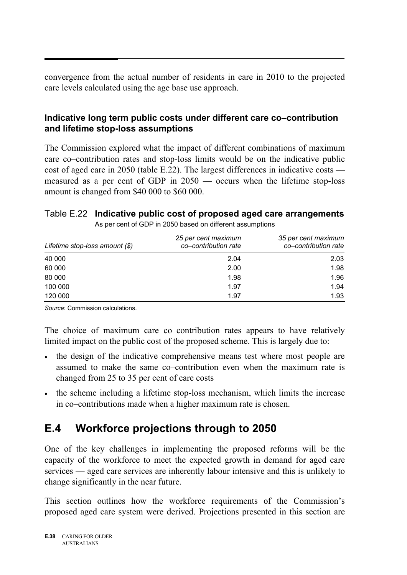convergence from the actual number of residents in care in 2010 to the projected care levels calculated using the age base use approach.

# **Indicative long term public costs under different care co–contribution and lifetime stop-loss assumptions**

The Commission explored what the impact of different combinations of maximum care co–contribution rates and stop-loss limits would be on the indicative public cost of aged care in 2050 (table E.22). The largest differences in indicative costs measured as a per cent of GDP in 2050 — occurs when the lifetime stop-loss amount is changed from \$40 000 to \$60 000.

# Table E.22 **Indicative public cost of proposed aged care arrangements**

| Lifetime stop-loss amount $(\$)$ | 25 per cent maximum<br>co-contribution rate | 35 per cent maximum<br>co-contribution rate |
|----------------------------------|---------------------------------------------|---------------------------------------------|
| 40 000                           | 2.04                                        | 2.03                                        |
| 60 000                           | 2.00                                        | 1.98                                        |
| 80 000                           | 1.98                                        | 1.96                                        |
| 100 000                          | 1.97                                        | 1.94                                        |
| 120 000                          | 1.97                                        | 1.93                                        |

As per cent of GDP in 2050 based on different assumptions

*Source*: Commission calculations.

The choice of maximum care co–contribution rates appears to have relatively limited impact on the public cost of the proposed scheme. This is largely due to:

- the design of the indicative comprehensive means test where most people are assumed to make the same co–contribution even when the maximum rate is changed from 25 to 35 per cent of care costs
- the scheme including a lifetime stop-loss mechanism, which limits the increase in co–contributions made when a higher maximum rate is chosen.

# **E.4 Workforce projections through to 2050**

One of the key challenges in implementing the proposed reforms will be the capacity of the workforce to meet the expected growth in demand for aged care services — aged care services are inherently labour intensive and this is unlikely to change significantly in the near future.

This section outlines how the workforce requirements of the Commission's proposed aged care system were derived. Projections presented in this section are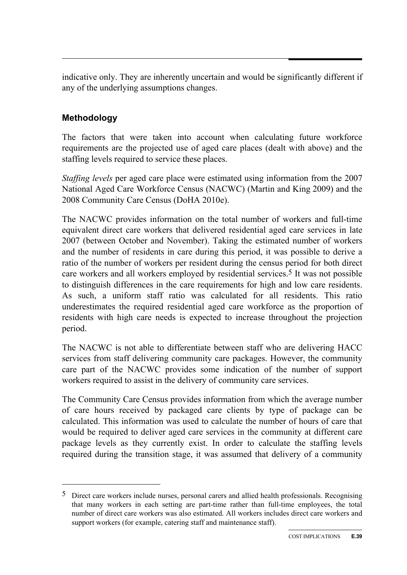indicative only. They are inherently uncertain and would be significantly different if any of the underlying assumptions changes.

# **Methodology**

 $\overline{a}$ 

The factors that were taken into account when calculating future workforce requirements are the projected use of aged care places (dealt with above) and the staffing levels required to service these places.

*Staffing levels* per aged care place were estimated using information from the 2007 National Aged Care Workforce Census (NACWC) (Martin and King 2009) and the 2008 Community Care Census (DoHA 2010e).

The NACWC provides information on the total number of workers and full-time equivalent direct care workers that delivered residential aged care services in late 2007 (between October and November). Taking the estimated number of workers and the number of residents in care during this period, it was possible to derive a ratio of the number of workers per resident during the census period for both direct care workers and all workers employed by residential services.5 It was not possible to distinguish differences in the care requirements for high and low care residents. As such, a uniform staff ratio was calculated for all residents. This ratio underestimates the required residential aged care workforce as the proportion of residents with high care needs is expected to increase throughout the projection period.

The NACWC is not able to differentiate between staff who are delivering HACC services from staff delivering community care packages. However, the community care part of the NACWC provides some indication of the number of support workers required to assist in the delivery of community care services.

The Community Care Census provides information from which the average number of care hours received by packaged care clients by type of package can be calculated. This information was used to calculate the number of hours of care that would be required to deliver aged care services in the community at different care package levels as they currently exist. In order to calculate the staffing levels required during the transition stage, it was assumed that delivery of a community

<sup>5</sup> Direct care workers include nurses, personal carers and allied health professionals. Recognising that many workers in each setting are part-time rather than full-time employees, the total number of direct care workers was also estimated. All workers includes direct care workers and support workers (for example, catering staff and maintenance staff).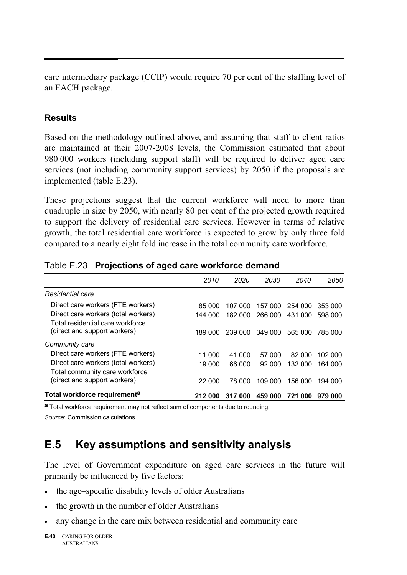care intermediary package (CCIP) would require 70 per cent of the staffing level of an EACH package.

# **Results**

Based on the methodology outlined above, and assuming that staff to client ratios are maintained at their 2007-2008 levels, the Commission estimated that about 980 000 workers (including support staff) will be required to deliver aged care services (not including community support services) by 2050 if the proposals are implemented (table E.23).

These projections suggest that the current workforce will need to more than quadruple in size by 2050, with nearly 80 per cent of the projected growth required to support the delivery of residential care services. However in terms of relative growth, the total residential care workforce is expected to grow by only three fold compared to a nearly eight fold increase in the total community care workforce.

|                                                                  |         | 2020    | 2030    | 2040    | 2050    |
|------------------------------------------------------------------|---------|---------|---------|---------|---------|
|                                                                  | 2010    |         |         |         |         |
| Residential care                                                 |         |         |         |         |         |
| Direct care workers (FTE workers)                                | 85 000  | 107 000 | 157 000 | 254 000 | 353 000 |
| Direct care workers (total workers)                              | 144 000 | 182 000 | 266 000 | 431 000 | 598 000 |
| Total residential care workforce<br>(direct and support workers) | 189 000 | 239 000 | 349 000 | 565 000 | 785 000 |
| Community care                                                   |         |         |         |         |         |
| Direct care workers (FTE workers)                                | 11 000  | 41 000  | 57 000  | 82 000  | 102 000 |
| Direct care workers (total workers)                              | 19 000  | 66 000  | 92 000  | 132 000 | 164 000 |
| Total community care workforce                                   |         |         |         |         |         |
| (direct and support workers)                                     | 22 000  | 78.000  | 109 000 | 156 000 | 194 000 |
| Total workforce requirement <sup>a</sup>                         | 212 000 | 317 000 | 459 000 | 721 000 | 979 000 |

#### Table E.23 **Projections of aged care workforce demand**

**a** Total workforce requirement may not reflect sum of components due to rounding.

*Source*: Commission calculations

# **E.5 Key assumptions and sensitivity analysis**

The level of Government expenditure on aged care services in the future will primarily be influenced by five factors:

- the age–specific disability levels of older Australians
- the growth in the number of older Australians
- any change in the care mix between residential and community care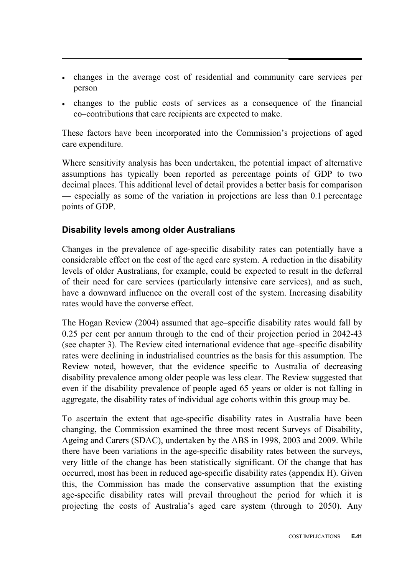- changes in the average cost of residential and community care services per person
- changes to the public costs of services as a consequence of the financial co–contributions that care recipients are expected to make.

These factors have been incorporated into the Commission's projections of aged care expenditure.

Where sensitivity analysis has been undertaken, the potential impact of alternative assumptions has typically been reported as percentage points of GDP to two decimal places. This additional level of detail provides a better basis for comparison — especially as some of the variation in projections are less than 0.1 percentage points of GDP.

## **Disability levels among older Australians**

Changes in the prevalence of age-specific disability rates can potentially have a considerable effect on the cost of the aged care system. A reduction in the disability levels of older Australians, for example, could be expected to result in the deferral of their need for care services (particularly intensive care services), and as such, have a downward influence on the overall cost of the system. Increasing disability rates would have the converse effect.

The Hogan Review (2004) assumed that age–specific disability rates would fall by 0.25 per cent per annum through to the end of their projection period in 2042-43 (see chapter 3). The Review cited international evidence that age–specific disability rates were declining in industrialised countries as the basis for this assumption. The Review noted, however, that the evidence specific to Australia of decreasing disability prevalence among older people was less clear. The Review suggested that even if the disability prevalence of people aged 65 years or older is not falling in aggregate, the disability rates of individual age cohorts within this group may be.

To ascertain the extent that age-specific disability rates in Australia have been changing, the Commission examined the three most recent Surveys of Disability, Ageing and Carers (SDAC), undertaken by the ABS in 1998, 2003 and 2009. While there have been variations in the age-specific disability rates between the surveys, very little of the change has been statistically significant. Of the change that has occurred, most has been in reduced age-specific disability rates (appendix H). Given this, the Commission has made the conservative assumption that the existing age-specific disability rates will prevail throughout the period for which it is projecting the costs of Australia's aged care system (through to 2050). Any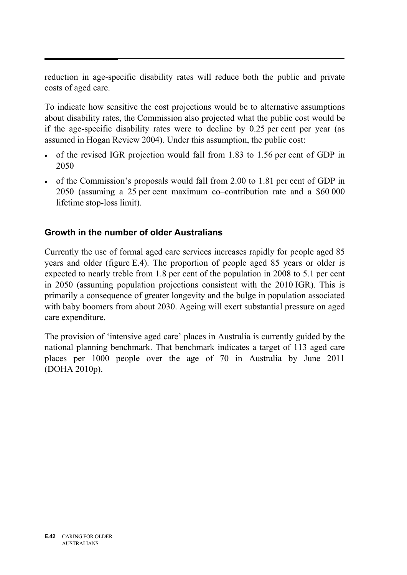reduction in age-specific disability rates will reduce both the public and private costs of aged care.

To indicate how sensitive the cost projections would be to alternative assumptions about disability rates, the Commission also projected what the public cost would be if the age-specific disability rates were to decline by 0.25 per cent per year (as assumed in Hogan Review 2004). Under this assumption, the public cost:

- of the revised IGR projection would fall from 1.83 to 1.56 per cent of GDP in 2050
- of the Commission's proposals would fall from 2.00 to 1.81 per cent of GDP in 2050 (assuming a 25 per cent maximum co–contribution rate and a \$60 000 lifetime stop-loss limit).

# **Growth in the number of older Australians**

Currently the use of formal aged care services increases rapidly for people aged 85 years and older (figure E.4). The proportion of people aged 85 years or older is expected to nearly treble from 1.8 per cent of the population in 2008 to 5.1 per cent in 2050 (assuming population projections consistent with the 2010 IGR). This is primarily a consequence of greater longevity and the bulge in population associated with baby boomers from about 2030. Ageing will exert substantial pressure on aged care expenditure.

The provision of 'intensive aged care' places in Australia is currently guided by the national planning benchmark. That benchmark indicates a target of 113 aged care places per 1000 people over the age of 70 in Australia by June 2011 (DOHA 2010p).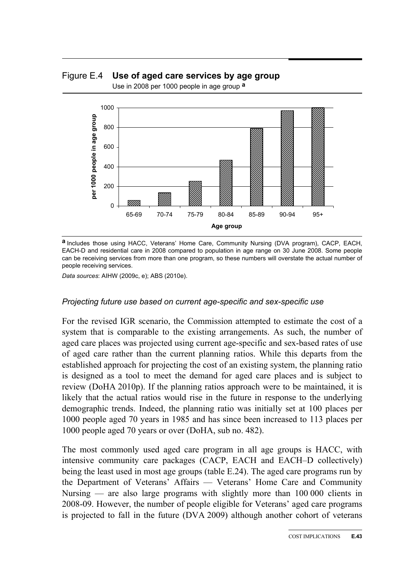Figure E.4 **Use of aged care services by age group**  Use in 2008 per 1000 people in age group **a**



**a** Includes those using HACC, Veterans' Home Care, Community Nursing (DVA program), CACP, EACH, EACH-D and residential care in 2008 compared to population in age range on 30 June 2008. Some people can be receiving services from more than one program, so these numbers will overstate the actual number of people receiving services.

*Data sources*: AIHW (2009c, e); ABS (2010e).

#### *Projecting future use based on current age-specific and sex-specific use*

For the revised IGR scenario, the Commission attempted to estimate the cost of a system that is comparable to the existing arrangements. As such, the number of aged care places was projected using current age-specific and sex-based rates of use of aged care rather than the current planning ratios. While this departs from the established approach for projecting the cost of an existing system, the planning ratio is designed as a tool to meet the demand for aged care places and is subject to review (DoHA 2010p). If the planning ratios approach were to be maintained, it is likely that the actual ratios would rise in the future in response to the underlying demographic trends. Indeed, the planning ratio was initially set at 100 places per 1000 people aged 70 years in 1985 and has since been increased to 113 places per 1000 people aged 70 years or over (DoHA, sub no. 482).

The most commonly used aged care program in all age groups is HACC, with intensive community care packages (CACP, EACH and EACH–D collectively) being the least used in most age groups (table E.24). The aged care programs run by the Department of Veterans' Affairs — Veterans' Home Care and Community Nursing — are also large programs with slightly more than 100 000 clients in 2008-09. However, the number of people eligible for Veterans' aged care programs is projected to fall in the future (DVA 2009) although another cohort of veterans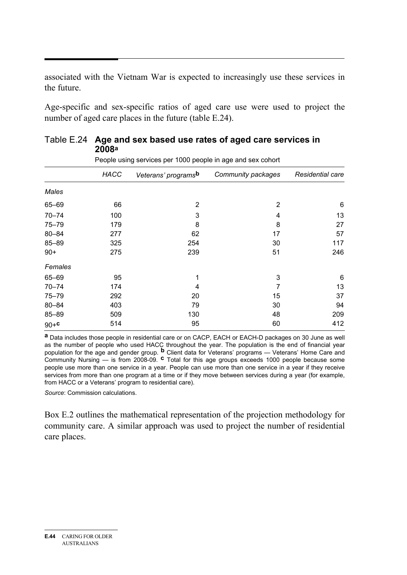associated with the Vietnam War is expected to increasingly use these services in the future.

Age-specific and sex-specific ratios of aged care use were used to project the number of aged care places in the future (table E.24).

|           |             | People using services per 1000 people in age and sex cohort |                    |                  |
|-----------|-------------|-------------------------------------------------------------|--------------------|------------------|
|           | <b>HACC</b> | Veterans' programs <sup>b</sup>                             | Community packages | Residential care |
| Males     |             |                                                             |                    |                  |
| 65-69     | 66          | 2                                                           | 2                  | 6                |
| $70 - 74$ | 100         | 3                                                           | 4                  | 13               |
| $75 - 79$ | 179         | 8                                                           | 8                  | 27               |
| $80 - 84$ | 277         | 62                                                          | 17                 | 57               |
| 85-89     | 325         | 254                                                         | 30                 | 117              |
| $90+$     | 275         | 239                                                         | 51                 | 246              |
| Females   |             |                                                             |                    |                  |
| 65-69     | 95          |                                                             | 3                  | 6                |
| $70 - 74$ | 174         | 4                                                           | 7                  | 13               |
| 75-79     | 292         | 20                                                          | 15                 | 37               |
| $80 - 84$ | 403         | 79                                                          | 30                 | 94               |
| 85-89     | 509         | 130                                                         | 48                 | 209              |
| $90 + c$  | 514         | 95                                                          | 60                 | 412              |

#### Table E.24 **Age and sex based use rates of aged care services in 2008a**

**a** Data includes those people in residential care or on CACP, EACH or EACH-D packages on 30 June as well as the number of people who used HACC throughout the year. The population is the end of financial year population for the age and gender group. **b** Client data for Veterans' programs — Veterans' Home Care and Community Nursing — is from 2008-09. **c** Total for this age groups exceeds 1000 people because some people use more than one service in a year. People can use more than one service in a year if they receive services from more than one program at a time or if they move between services during a year (for example, from HACC or a Veterans' program to residential care).

*Source*: Commission calculations.

Box E.2 outlines the mathematical representation of the projection methodology for community care. A similar approach was used to project the number of residential care places.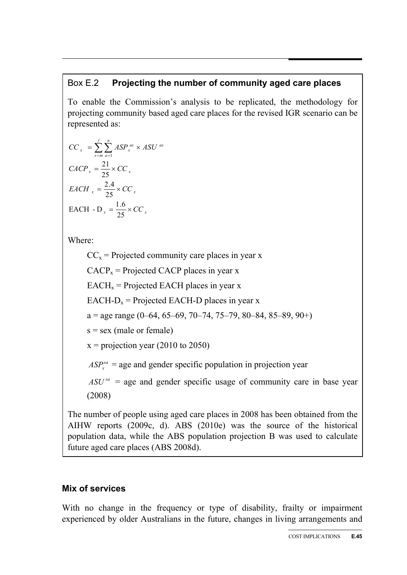# Box E.2 **Projecting the number of community aged care places**

To enable the Commission's analysis to be replicated, the methodology for projecting community based aged care places for the revised IGR scenario can be represented as:

$$
CC_x = \sum_{s=m}^{f} \sum_{a=1}^{n} ASP_x^{as} \times ASU^{as}
$$

$$
CACP_x = \frac{21}{25} \times CC_x
$$

$$
EACH_x = \frac{2.4}{25} \times CC_x
$$

$$
EACH - D_x = \frac{1.6}{25} \times CC_x
$$

Where:

 $CC_x$  = Projected community care places in year x  $CACP<sub>x</sub>$  = Projected CACP places in year x  $EACH<sub>x</sub>$  = Projected EACH places in year x EACH- $D_x$  = Projected EACH-D places in year x  $a = age range (0-64, 65-69, 70-74, 75-79, 80-84, 85-89, 90+)$  $s =$  sex (male or female)  $x =$  projection year (2010 to 2050)  $ASP<sub>x</sub><sup>sa</sup>$  = age and gender specific population in projection year  $ASU^{sa}$  = age and gender specific usage of community care in base year (2008)

The number of people using aged care places in 2008 has been obtained from the AIHW reports (2009c, d). ABS (2010e) was the source of the historical population data, while the ABS population projection B was used to calculate future aged care places (ABS 2008d).

# **Mix of services**

With no change in the frequency or type of disability, frailty or impairment experienced by older Australians in the future, changes in living arrangements and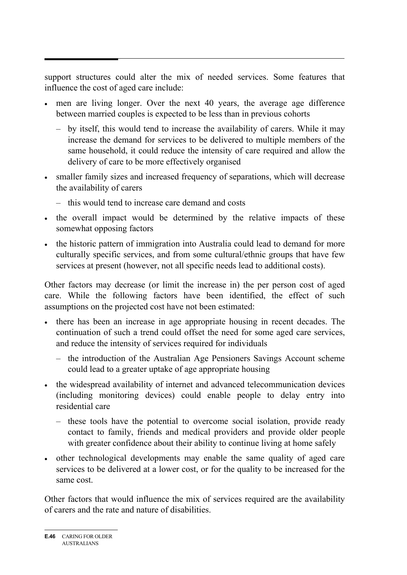support structures could alter the mix of needed services. Some features that influence the cost of aged care include:

- men are living longer. Over the next 40 years, the average age difference between married couples is expected to be less than in previous cohorts
	- by itself, this would tend to increase the availability of carers. While it may increase the demand for services to be delivered to multiple members of the same household, it could reduce the intensity of care required and allow the delivery of care to be more effectively organised
- smaller family sizes and increased frequency of separations, which will decrease the availability of carers
	- this would tend to increase care demand and costs
- the overall impact would be determined by the relative impacts of these somewhat opposing factors
- the historic pattern of immigration into Australia could lead to demand for more culturally specific services, and from some cultural/ethnic groups that have few services at present (however, not all specific needs lead to additional costs).

Other factors may decrease (or limit the increase in) the per person cost of aged care. While the following factors have been identified, the effect of such assumptions on the projected cost have not been estimated:

- there has been an increase in age appropriate housing in recent decades. The continuation of such a trend could offset the need for some aged care services, and reduce the intensity of services required for individuals
	- the introduction of the Australian Age Pensioners Savings Account scheme could lead to a greater uptake of age appropriate housing
- the widespread availability of internet and advanced telecommunication devices (including monitoring devices) could enable people to delay entry into residential care
	- these tools have the potential to overcome social isolation, provide ready contact to family, friends and medical providers and provide older people with greater confidence about their ability to continue living at home safely
- other technological developments may enable the same quality of aged care services to be delivered at a lower cost, or for the quality to be increased for the same cost.

Other factors that would influence the mix of services required are the availability of carers and the rate and nature of disabilities.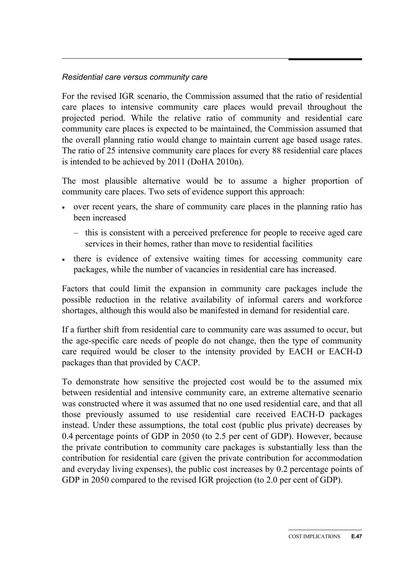#### *Residential care versus community care*

For the revised IGR scenario, the Commission assumed that the ratio of residential care places to intensive community care places would prevail throughout the projected period. While the relative ratio of community and residential care community care places is expected to be maintained, the Commission assumed that the overall planning ratio would change to maintain current age based usage rates. The ratio of 25 intensive community care places for every 88 residential care places is intended to be achieved by 2011 (DoHA 2010n).

The most plausible alternative would be to assume a higher proportion of community care places. Two sets of evidence support this approach:

- over recent years, the share of community care places in the planning ratio has been increased
	- this is consistent with a perceived preference for people to receive aged care services in their homes, rather than move to residential facilities
- there is evidence of extensive waiting times for accessing community care packages, while the number of vacancies in residential care has increased.

Factors that could limit the expansion in community care packages include the possible reduction in the relative availability of informal carers and workforce shortages, although this would also be manifested in demand for residential care.

If a further shift from residential care to community care was assumed to occur, but the age-specific care needs of people do not change, then the type of community care required would be closer to the intensity provided by EACH or EACH-D packages than that provided by CACP.

To demonstrate how sensitive the projected cost would be to the assumed mix between residential and intensive community care, an extreme alternative scenario was constructed where it was assumed that no one used residential care, and that all those previously assumed to use residential care received EACH-D packages instead. Under these assumptions, the total cost (public plus private) decreases by 0.4 percentage points of GDP in 2050 (to 2.5 per cent of GDP). However, because the private contribution to community care packages is substantially less than the contribution for residential care (given the private contribution for accommodation and everyday living expenses), the public cost increases by 0.2 percentage points of GDP in 2050 compared to the revised IGR projection (to 2.0 per cent of GDP).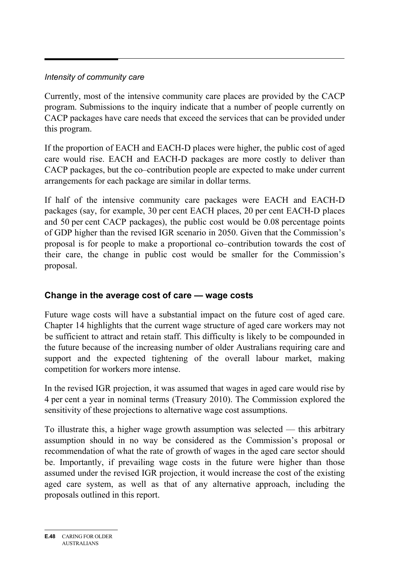#### *Intensity of community care*

Currently, most of the intensive community care places are provided by the CACP program. Submissions to the inquiry indicate that a number of people currently on CACP packages have care needs that exceed the services that can be provided under this program.

If the proportion of EACH and EACH-D places were higher, the public cost of aged care would rise. EACH and EACH-D packages are more costly to deliver than CACP packages, but the co–contribution people are expected to make under current arrangements for each package are similar in dollar terms.

If half of the intensive community care packages were EACH and EACH-D packages (say, for example, 30 per cent EACH places, 20 per cent EACH-D places and 50 per cent CACP packages), the public cost would be 0.08 percentage points of GDP higher than the revised IGR scenario in 2050. Given that the Commission's proposal is for people to make a proportional co–contribution towards the cost of their care, the change in public cost would be smaller for the Commission's proposal.

# **Change in the average cost of care — wage costs**

Future wage costs will have a substantial impact on the future cost of aged care. Chapter 14 highlights that the current wage structure of aged care workers may not be sufficient to attract and retain staff. This difficulty is likely to be compounded in the future because of the increasing number of older Australians requiring care and support and the expected tightening of the overall labour market, making competition for workers more intense.

In the revised IGR projection, it was assumed that wages in aged care would rise by 4 per cent a year in nominal terms (Treasury 2010). The Commission explored the sensitivity of these projections to alternative wage cost assumptions.

To illustrate this, a higher wage growth assumption was selected — this arbitrary assumption should in no way be considered as the Commission's proposal or recommendation of what the rate of growth of wages in the aged care sector should be. Importantly, if prevailing wage costs in the future were higher than those assumed under the revised IGR projection, it would increase the cost of the existing aged care system, as well as that of any alternative approach, including the proposals outlined in this report.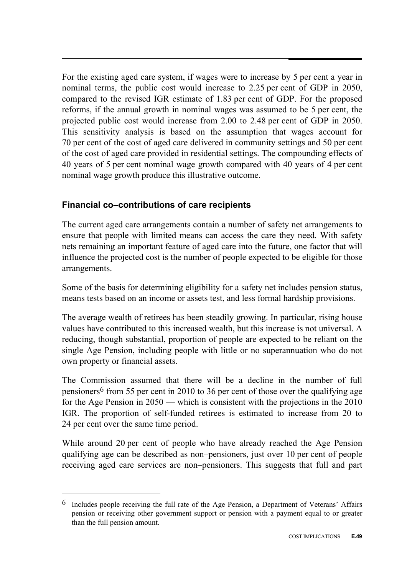For the existing aged care system, if wages were to increase by 5 per cent a year in nominal terms, the public cost would increase to 2.25 per cent of GDP in 2050, compared to the revised IGR estimate of 1.83 per cent of GDP. For the proposed reforms, if the annual growth in nominal wages was assumed to be 5 per cent, the projected public cost would increase from 2.00 to 2.48 per cent of GDP in 2050. This sensitivity analysis is based on the assumption that wages account for 70 per cent of the cost of aged care delivered in community settings and 50 per cent of the cost of aged care provided in residential settings. The compounding effects of 40 years of 5 per cent nominal wage growth compared with 40 years of 4 per cent nominal wage growth produce this illustrative outcome.

# **Financial co–contributions of care recipients**

 $\overline{a}$ 

The current aged care arrangements contain a number of safety net arrangements to ensure that people with limited means can access the care they need. With safety nets remaining an important feature of aged care into the future, one factor that will influence the projected cost is the number of people expected to be eligible for those arrangements.

Some of the basis for determining eligibility for a safety net includes pension status, means tests based on an income or assets test, and less formal hardship provisions.

The average wealth of retirees has been steadily growing. In particular, rising house values have contributed to this increased wealth, but this increase is not universal. A reducing, though substantial, proportion of people are expected to be reliant on the single Age Pension, including people with little or no superannuation who do not own property or financial assets.

The Commission assumed that there will be a decline in the number of full pensioners6 from 55 per cent in 2010 to 36 per cent of those over the qualifying age for the Age Pension in 2050 — which is consistent with the projections in the 2010 IGR. The proportion of self-funded retirees is estimated to increase from 20 to 24 per cent over the same time period.

While around 20 per cent of people who have already reached the Age Pension qualifying age can be described as non–pensioners, just over 10 per cent of people receiving aged care services are non–pensioners. This suggests that full and part

 $6$  Includes people receiving the full rate of the Age Pension, a Department of Veterans' Affairs pension or receiving other government support or pension with a payment equal to or greater than the full pension amount.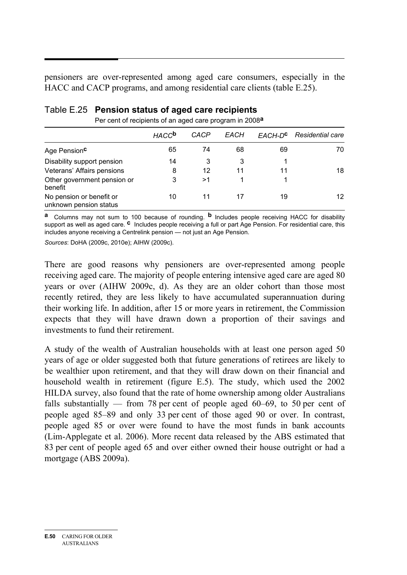pensioners are over-represented among aged care consumers, especially in the HACC and CACP programs, and among residential care clients (table E.25).

|                                                    | <b>HACC<sup>b</sup></b> | CACP | EACH | EACH-D <sup>C</sup> | Residential care |
|----------------------------------------------------|-------------------------|------|------|---------------------|------------------|
| Age Pension <sup>c</sup>                           | 65                      | 74   | 68   | 69                  | 70               |
| Disability support pension                         | 14                      | 3    | 3    |                     |                  |
| Veterans' Affairs pensions                         | 8                       | 12   | 11   | 11                  | 18               |
| Other government pension or<br>benefit             | 3                       | >1   |      |                     |                  |
| No pension or benefit or<br>unknown pension status | 10                      | 11   | 17   | 19                  | 12               |

# Table E.25 **Pension status of aged care recipients**

Per cent of recipients of an aged care program in 2008**a**

**a** Columns may not sum to 100 because of rounding. **b** Includes people receiving HACC for disability support as well as aged care. **c** Includes people receiving a full or part Age Pension. For residential care, this includes anyone receiving a Centrelink pension — not just an Age Pension.

*Sources*: DoHA (2009c, 2010e); AIHW (2009c).

There are good reasons why pensioners are over-represented among people receiving aged care. The majority of people entering intensive aged care are aged 80 years or over (AIHW 2009c, d). As they are an older cohort than those most recently retired, they are less likely to have accumulated superannuation during their working life. In addition, after 15 or more years in retirement, the Commission expects that they will have drawn down a proportion of their savings and investments to fund their retirement.

A study of the wealth of Australian households with at least one person aged 50 years of age or older suggested both that future generations of retirees are likely to be wealthier upon retirement, and that they will draw down on their financial and household wealth in retirement (figure E.5). The study, which used the 2002 HILDA survey, also found that the rate of home ownership among older Australians falls substantially — from 78 per cent of people aged 60–69, to 50 per cent of people aged 85–89 and only 33 per cent of those aged 90 or over. In contrast, people aged 85 or over were found to have the most funds in bank accounts (Lim-Applegate et al. 2006). More recent data released by the ABS estimated that 83 per cent of people aged 65 and over either owned their house outright or had a mortgage (ABS 2009a).